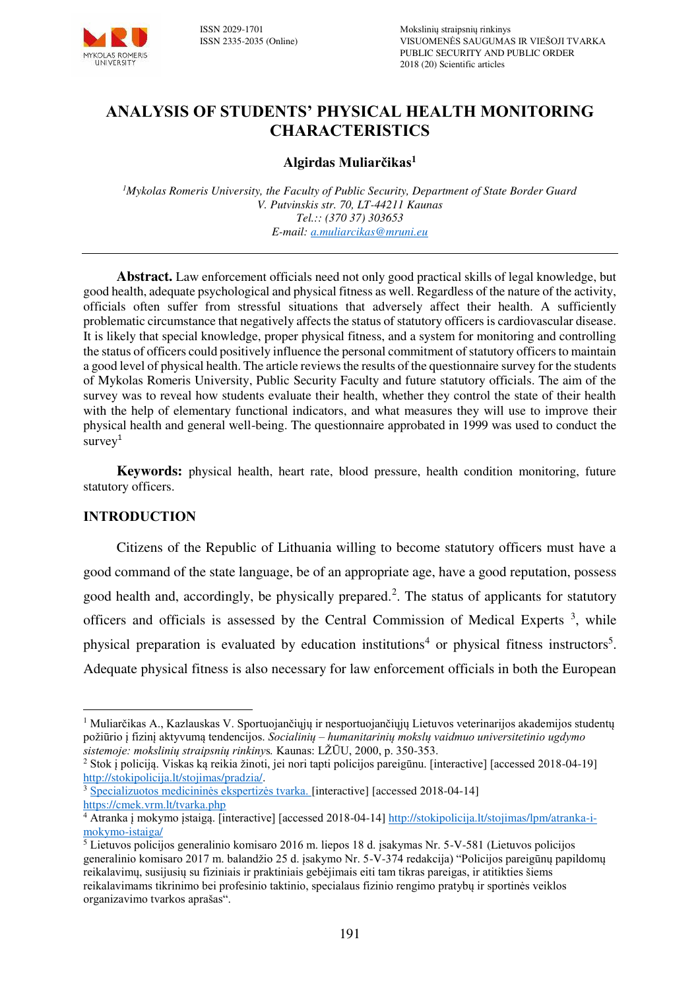

# **ANALYSIS OF STUDENTS' PHYSICAL HEALTH MONITORING CHARACTERISTICS**

## **Algirdas Muliarčikas<sup>1</sup>**

*<sup>1</sup>Mykolas Romeris University, the Faculty of Public Security, Department of State Border Guard V. Putvinskis str. 70, LT-44211 Kaunas Tel.:: (370 37) 303653 E-mail: [a.muliarcikas@mruni.eu](mailto:a.muliarcikas@mruni.eu)* 

**Abstract.** Law enforcement officials need not only good practical skills of legal knowledge, but good health, adequate psychological and physical fitness as well. Regardless of the nature of the activity, officials often suffer from stressful situations that adversely affect their health. A sufficiently problematic circumstance that negatively affects the status of statutory officers is cardiovascular disease. It is likely that special knowledge, proper physical fitness, and a system for monitoring and controlling the status of officers could positively influence the personal commitment of statutory officers to maintain a good level of physical health. The article reviews the results of the questionnaire survey for the students of Mykolas Romeris University, Public Security Faculty and future statutory officials. The aim of the survey was to reveal how students evaluate their health, whether they control the state of their health with the help of elementary functional indicators, and what measures they will use to improve their physical health and general well-being. The questionnaire approbated in 1999 was used to conduct the survey<sup>1</sup>

**Keywords:** physical health, heart rate, blood pressure, health condition monitoring, future statutory officers.

### **INTRODUCTION**

 $\overline{a}$ 

Citizens of the Republic of Lithuania willing to become statutory officers must have a good command of the state language, be of an appropriate age, have a good reputation, possess good health and, accordingly, be physically prepared.<sup>2</sup>. The status of applicants for statutory officers and officials is assessed by the Central Commission of Medical Experts<sup>3</sup>, while physical preparation is evaluated by education institutions<sup>4</sup> or physical fitness instructors<sup>5</sup>. Adequate physical fitness is also necessary for law enforcement officials in both the European

<sup>2</sup> Stok į policiją. Viskas ką reikia žinoti, jei nori tapti policijos pareigūnu. [interactive] [accessed 2018-04-19] [http://stokipolicija.lt/stojimas/pradzia/.](http://stokipolicija.lt/stojimas/pradzia/) 

<sup>3</sup> [Specializuotos medicininės ekspertizės tvarka.](file:///H:/MOKSLO%20bendr/1-ALGIO_Mokslas/A-2018%20pavas/straipsnis%20i%20%20Nr%2020%20VSVT/Specializuotos%20medicininės%20ekspertizės%20tvarka.%20%20https:/cmek.vrm.lt/tvarka.php) [interactive] [accessed 2018-04-14] <https://cmek.vrm.lt/tvarka.php>

<sup>&</sup>lt;sup>1</sup> Muliarčikas A., Kazlauskas V. Sportuojančiųjų ir nesportuojančiųjų Lietuvos veterinarijos akademijos studentų požiūrio į fizinį aktyvumą tendencijos. *Socialinių – humanitarinių mokslų vaidmuo universitetinio ugdymo sistemoje: mokslinių straipsnių rinkiny*s*.* Kaunas: LŽŪU, 2000, p. 350-353.

<sup>4</sup> Atranka į mokymo įstaigą. [interactive] [accessed 2018-04-14[\] http://stokipolicija.lt/stojimas/lpm/atranka-i](http://stokipolicija.lt/stojimas/lpm/atranka-i-mokymo-istaiga/)[mokymo-istaiga/](http://stokipolicija.lt/stojimas/lpm/atranka-i-mokymo-istaiga/) 

<sup>5</sup> Lietuvos policijos generalinio komisaro 2016 m. liepos 18 d. įsakymas Nr. 5-V-581 (Lietuvos policijos generalinio komisaro 2017 m. balandžio 25 d. įsakymo Nr. 5-V-374 redakcija) "Policijos pareigūnų papildomų reikalavimų, susijusių su fiziniais ir praktiniais gebėjimais eiti tam tikras pareigas, ir atitikties šiems reikalavimams tikrinimo bei profesinio taktinio, specialaus fizinio rengimo pratybų ir sportinės veiklos organizavimo tvarkos aprašas".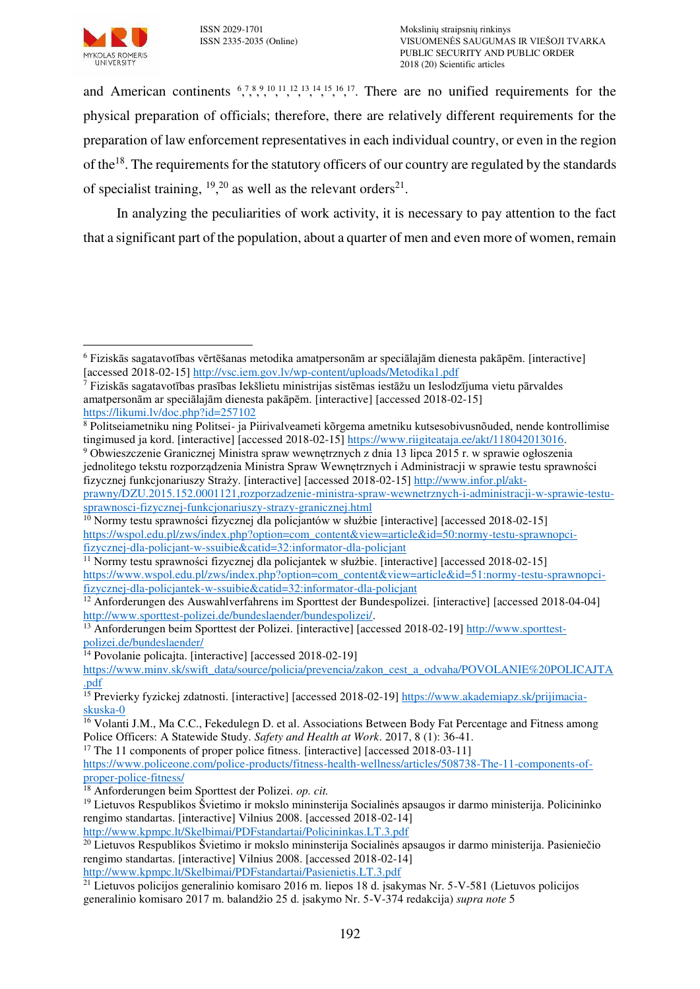

 $\overline{a}$ 

and American continents  $6,7,8,9,10,11,12,13,14,15,16,17$ . There are no unified requirements for the physical preparation of officials; therefore, there are relatively different requirements for the preparation of law enforcement representatives in each individual country, or even in the region of the<sup>18</sup>. The requirements for the statutory officers of our country are regulated by the standards of specialist training,  $^{19}$ ,  $^{20}$  as well as the relevant orders<sup>21</sup>.

In analyzing the peculiarities of work activity, it is necessary to pay attention to the fact that a significant part of the population, about a quarter of men and even more of women, remain

<sup>9</sup> Obwieszczenie Granicznej Ministra spraw wewnętrznych z dnia 13 lipca 2015 r. w sprawie ogłoszenia jednolitego tekstu rozporządzenia Ministra Spraw Wewnętrznych i Administracji w sprawie testu sprawności fizycznej funkcjonariuszy Straży. [interactive] [accessed 2018-02-15] [http://www.infor.pl/akt-](http://www.infor.pl/akt-prawny/DZU.2015.152.0001121,rozporzadzenie-ministra-spraw-wewnetrznych-i-administracji-w-sprawie-testu-sprawnosci-fizycznej-funkcjonariuszy-strazy-granicznej.html)

[prawny/DZU.2015.152.0001121,rozporzadzenie-ministra-spraw-wewnetrznych-i-administracji-w-sprawie-testu](http://www.infor.pl/akt-prawny/DZU.2015.152.0001121,rozporzadzenie-ministra-spraw-wewnetrznych-i-administracji-w-sprawie-testu-sprawnosci-fizycznej-funkcjonariuszy-strazy-granicznej.html)[sprawnosci-fizycznej-funkcjonariuszy-strazy-granicznej.html](http://www.infor.pl/akt-prawny/DZU.2015.152.0001121,rozporzadzenie-ministra-spraw-wewnetrznych-i-administracji-w-sprawie-testu-sprawnosci-fizycznej-funkcjonariuszy-strazy-granicznej.html) 

<sup>6</sup> Fiziskās sagatavotības vērtēšanas metodika amatpersonām ar speciālajām dienesta pakāpēm. [interactive] [accessed 2018-02-15]<http://vsc.iem.gov.lv/wp-content/uploads/Metodika1.pdf>

 $^7$  Fiziskās sagatavotības prasības Iekšlietu ministrijas sistēmas iestāžu un Ieslodzījuma vietu pārvaldes amatpersonām ar speciālajām dienesta pakāpēm. [interactive] [accessed 2018-02-15] <https://likumi.lv/doc.php?id=257102>

<sup>8</sup> Politseiametniku ning Politsei- ja Piirivalveameti kõrgema ametniku kutsesobivusnõuded, nende kontrollimise tingimused ja kord. [interactive] [accessed 2018-02-15[\] https://www.riigiteataja.ee/akt/118042013016.](https://www.riigiteataja.ee/akt/118042013016)

<sup>&</sup>lt;sup>10</sup> [Normy testu sprawności fizycznej dla policjantów w służbie](https://wspol.edu.pl/zws/index.php?option=com_content&view=article&id=50:normy-testu-sprawnopci-fizycznej-dla-policjant-w-ssuibie&catid=32:informator-dla-policjant) [interactive] [accessed 2018-02-15] [https://wspol.edu.pl/zws/index.php?option=com\\_content&view=article&id=50:normy-testu-sprawnopci](https://wspol.edu.pl/zws/index.php?option=com_content&view=article&id=50:normy-testu-sprawnopci-fizycznej-dla-policjant-w-ssuibie&catid=32:informator-dla-policjant)[fizycznej-dla-policjant-w-ssuibie&catid=32:informator-dla-policjant](https://wspol.edu.pl/zws/index.php?option=com_content&view=article&id=50:normy-testu-sprawnopci-fizycznej-dla-policjant-w-ssuibie&catid=32:informator-dla-policjant) 

<sup>&</sup>lt;sup>11</sup> [Normy testu sprawności fizycznej dla policjantek w służbie](https://www.wspol.edu.pl/zws/index.php?option=com_content&view=article&id=51:normy-testu-sprawnopci-fizycznej-dla-policjantek-w-ssuibie&catid=32:informator-dla-policjant). [interactive] [accessed 2018-02-15] [https://www.wspol.edu.pl/zws/index.php?option=com\\_content&view=article&id=51:normy-testu-sprawnopci](https://www.wspol.edu.pl/zws/index.php?option=com_content&view=article&id=51:normy-testu-sprawnopci-fizycznej-dla-policjantek-w-ssuibie&catid=32:informator-dla-policjant)[fizycznej-dla-policjantek-w-ssuibie&catid=32:informator-dla-policjant](https://www.wspol.edu.pl/zws/index.php?option=com_content&view=article&id=51:normy-testu-sprawnopci-fizycznej-dla-policjantek-w-ssuibie&catid=32:informator-dla-policjant) 

<sup>&</sup>lt;sup>12</sup> Anforderungen des Auswahlverfahrens im Sporttest der Bundespolizei. [interactive] [accessed 2018-04-04] [http://www.sporttest-polizei.de/bundeslaender/bundespolizei/.](http://www.sporttest-polizei.de/bundeslaender/bundespolizei/)

<sup>13</sup> Anforderungen beim Sporttest der Polizei. [interactive] [accessed 2018-02-19[\] http://www.sporttest](http://www.sporttest-polizei.de/bundeslaender/)[polizei.de/bundeslaender/](http://www.sporttest-polizei.de/bundeslaender/) 

<sup>14</sup> Povolanie policajta. [interactive] [accessed 2018-02-19]

[https://www.minv.sk/swift\\_data/source/policia/prevencia/zakon\\_cest\\_a\\_odvaha/POVOLANIE%20POLICAJTA](https://www.minv.sk/swift_data/source/policia/prevencia/zakon_cest_a_odvaha/POVOLANIE%20POLICAJTA.pdf) [.pdf](https://www.minv.sk/swift_data/source/policia/prevencia/zakon_cest_a_odvaha/POVOLANIE%20POLICAJTA.pdf) 

<sup>&</sup>lt;sup>15</sup> Previerky fyzickej zdatnosti. [interactive] [accessed 2018-02-19[\] https://www.akademiapz.sk/prijimacia](https://www.akademiapz.sk/prijimacia-skuska-0)[skuska-0](https://www.akademiapz.sk/prijimacia-skuska-0) 

<sup>&</sup>lt;sup>16</sup> Volanti J.M., Ma C.C., Fekedulegn D. et al. Associations Between Body Fat Percentage and Fitness among Police Officers: A Statewide Study. *[Safety and Health at Work](https://www.sciencedirect.com/science/journal/20937911)*. 2017, 8 (1): 36-41.

<sup>&</sup>lt;sup>17</sup> The 11 components of proper police fitness. [interactive] [accessed 2018-03-11]

[https://www.policeone.com/police-products/fitness-health-wellness/articles/508738-The-11-components-of](https://www.policeone.com/police-products/fitness-health-wellness/articles/508738-The-11-components-of-proper-police-fitness/)[proper-police-fitness/](https://www.policeone.com/police-products/fitness-health-wellness/articles/508738-The-11-components-of-proper-police-fitness/) 

<sup>18</sup> Anforderungen beim Sporttest der Polizei. *op. cit.*

<sup>19</sup> Lietuvos Respublikos Švietimo ir mokslo mininsterija Socialinės apsaugos ir darmo ministerija. Policininko rengimo standartas. [interactive] Vilnius 2008. [accessed 2018-02-14]

<http://www.kpmpc.lt/Skelbimai/PDFstandartai/Policininkas.LT.3.pdf>

<sup>&</sup>lt;sup>20</sup> Lietuvos Respublikos Švietimo ir mokslo mininsterija Socialinės apsaugos ir darmo ministerija. Pasieniečio rengimo standartas. [interactive] Vilnius 2008. [accessed 2018-02-14]

<http://www.kpmpc.lt/Skelbimai/PDFstandartai/Pasienietis.LT.3.pdf>

<sup>21</sup> Lietuvos policijos generalinio komisaro 2016 m. liepos 18 d. įsakymas Nr. 5-V-581 (Lietuvos policijos generalinio komisaro 2017 m. balandžio 25 d. įsakymo Nr. 5-V-374 redakcija) *supra note* 5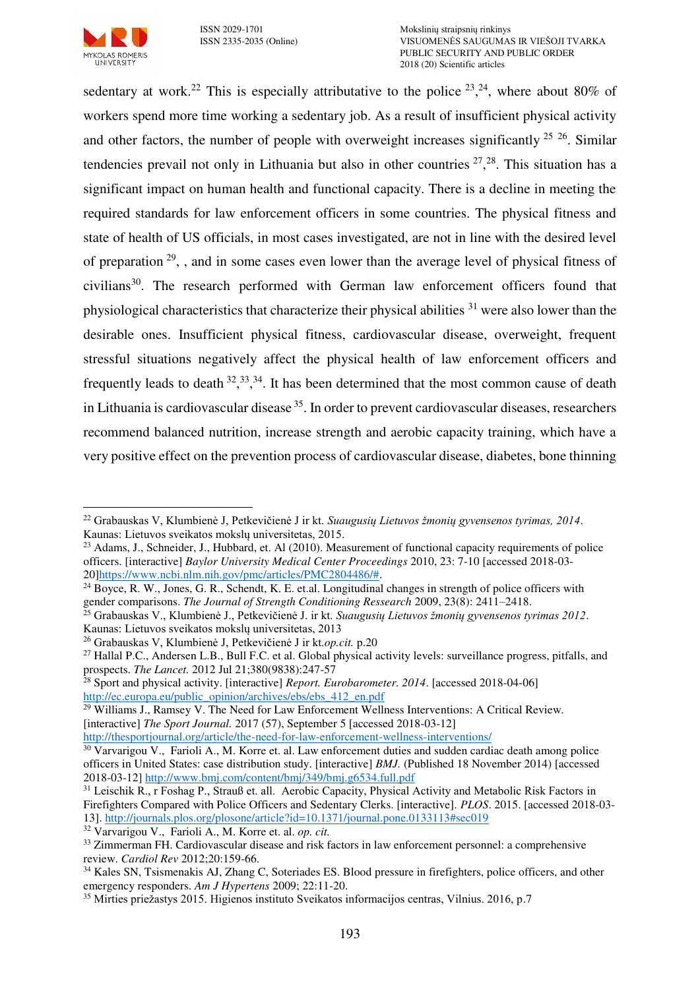

 $\overline{a}$ 

sedentary at work.<sup>22</sup> This is especially attributative to the police  $2^3$ ,  $2^4$ , where about 80% of workers spend more time working a sedentary job. As a result of insufficient physical activity and other factors, the number of people with overweight increases significantly  $25\frac{26}{5}$ . Similar tendencies prevail not only in Lithuania but also in other countries  $27,28$ . This situation has a significant impact on human health and functional capacity. There is a decline in meeting the required standards for law enforcement officers in some countries. The physical fitness and state of health of US officials, in most cases investigated, are not in line with the desired level of preparation <sup>29</sup>, , and in some cases even lower than the average level of physical fitness of civilians<sup>30</sup>. The research performed with German law enforcement officers found that physiological characteristics that characterize their physical abilities  $31$  were also lower than the desirable ones. Insufficient physical fitness, cardiovascular disease, overweight, frequent stressful situations negatively affect the physical health of law enforcement officers and frequently leads to death  $32,33,34$ . It has been determined that the most common cause of death in Lithuania is cardiovascular disease  $35$ . In order to prevent cardiovascular diseases, researchers recommend balanced nutrition, increase strength and aerobic capacity training, which have a very positive effect on the prevention process of cardiovascular disease, diabetes, bone thinning

<sup>29</sup> Williams J., Ramsey V. The Need for Law Enforcement Wellness Interventions: A Critical Review. [interactive] *The Sport Journal.* 2017 (57), September 5 [accessed 2018-03-12]

<sup>22</sup> Grabauskas V, Klumbienė J, Petkevičienė J ir kt. *Suaugusių Lietuvos žmonių gyvensenos tyrimas, 2014*. Kaunas: Lietuvos sveikatos mokslų universitetas, 2015.

<sup>&</sup>lt;sup>23</sup> Adams, J., Schneider, J., Hubbard, et. Al (2010). Measurement of functional capacity requirements of police officers. [interactive] *Baylor University Medical Center Proceedings* 2010, 23: 7-10 [accessed 2018-03- 20[\]https://www.ncbi.nlm.nih.gov/pmc/articles/PMC2804486/#.](https://www.ncbi.nlm.nih.gov/pmc/articles/PMC2804486/)

<sup>&</sup>lt;sup>24</sup> Boyce, R. W., Jones, G. R., Schendt, K. E. et.al. Longitudinal changes in strength of police officers with gender comparisons. *The Journal of Strength Conditioning Ressearch* 2009, 23(8): 2411–2418.

<sup>25</sup> Grabauskas V., Klumbienė J., Petkevičienė J. ir kt. *Suaugusių Lietuvos žmonių gyvensenos tyrimas 2012*. Kaunas: Lietuvos sveikatos mokslų universitetas, 2013

<sup>26</sup> Grabauskas V, Klumbienė J, Petkevičienė J ir kt.*op.cit.* p.20

 $27$  Hallal P.C., Andersen L.B., Bull F.C. et al. Global physical activity levels: surveillance progress, pitfalls, and prospects. *The Lancet.* 2012 Jul 21;380(9838):247-57

<sup>28</sup> Sport and physical activity. [interactive] *Report. Eurobarometer. 2014*. [accessed 2018-04-06] http://ec.europa.eu/public\_opinion/archives/ebs/ebs\_412\_en.pdf

<http://thesportjournal.org/article/the-need-for-law-enforcement-wellness-interventions/>

<sup>&</sup>lt;sup>30</sup> Varvarigou V., Farioli A., M. Korre et. al. Law enforcement duties and sudden cardiac death among police officers in United States: case distribution study. [interactive] *BMJ.* (Published 18 November 2014) [accessed 2018-03-12] <http://www.bmj.com/content/bmj/349/bmj.g6534.full.pdf>

<sup>&</sup>lt;sup>31</sup> Leischik R., r Foshag P., Strauß et. all. Aerobic Capacity, Physical Activity and Metabolic Risk Factors in Firefighters Compared with Police Officers and Sedentary Clerks. [interactive]. *PLOS*. 2015. [accessed 2018-03- 13].<http://journals.plos.org/plosone/article?id=10.1371/journal.pone.0133113#sec019>

<sup>32</sup> Varvarigou V., Farioli A., M. Korre et. al. *op. cit.*

<sup>33</sup> Zimmerman FH. Cardiovascular disease and risk factors in law enforcement personnel: a comprehensive review. *Cardiol Rev* 2012;20:159-66.

<sup>&</sup>lt;sup>34</sup> Kales SN, Tsismenakis AJ, Zhang C, Soteriades ES. Blood pressure in firefighters, police officers, and other emergency responders. *Am J Hypertens* 2009; 22:11-20.

<sup>35</sup> Mirties priežastys 2015. Higienos instituto Sveikatos informacijos centras, Vilnius. 2016, p.7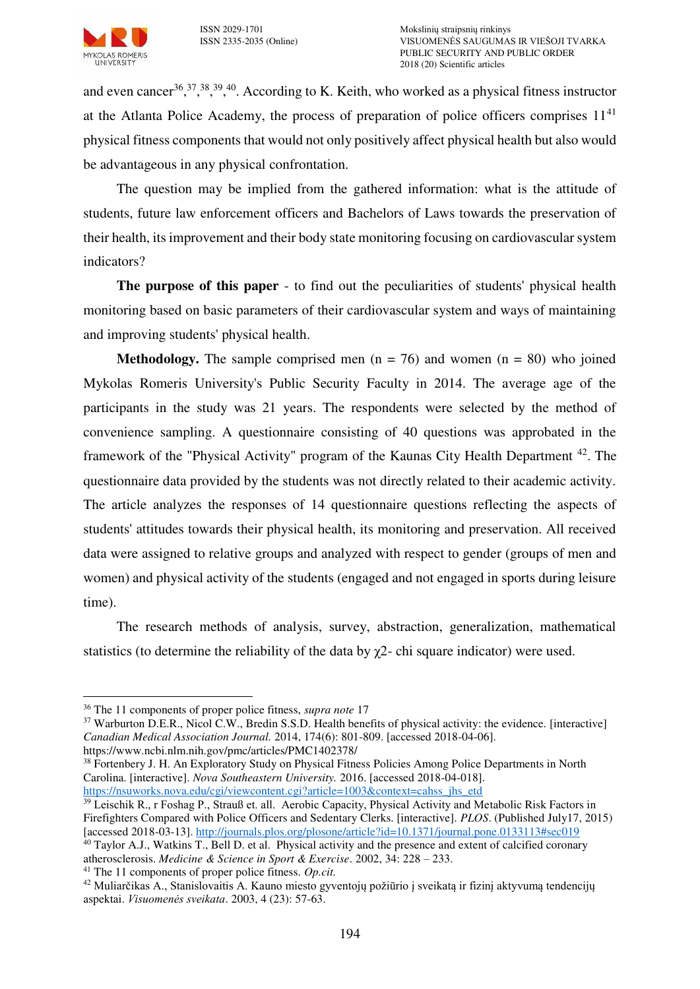and even cancer<sup>36</sup>,  $37, 38, 39, 40$ . According to K. Keith, who worked as a physical fitness instructor at the Atlanta Police Academy, the process of preparation of police officers comprises  $11<sup>41</sup>$ physical fitness components that would not only positively affect physical health but also would be advantageous in any physical confrontation.

The question may be implied from the gathered information: what is the attitude of students, future law enforcement officers and Bachelors of Laws towards the preservation of their health, its improvement and their body state monitoring focusing on cardiovascular system indicators?

**The purpose of this paper** - to find out the peculiarities of students' physical health monitoring based on basic parameters of their cardiovascular system and ways of maintaining and improving students' physical health.

**Methodology.** The sample comprised men  $(n = 76)$  and women  $(n = 80)$  who joined Mykolas Romeris University's Public Security Faculty in 2014. The average age of the participants in the study was 21 years. The respondents were selected by the method of convenience sampling. A questionnaire consisting of 40 questions was approbated in the framework of the "Physical Activity" program of the Kaunas City Health Department <sup>42</sup>. The questionnaire data provided by the students was not directly related to their academic activity. The article analyzes the responses of 14 questionnaire questions reflecting the aspects of students' attitudes towards their physical health, its monitoring and preservation. All received data were assigned to relative groups and analyzed with respect to gender (groups of men and women) and physical activity of the students (engaged and not engaged in sports during leisure time).

The research methods of analysis, survey, abstraction, generalization, mathematical statistics (to determine the reliability of the data by  $\chi$ 2- chi square indicator) were used.

 $\overline{a}$ <sup>36</sup> The 11 components of proper police fitness, *supra note* 17

<sup>&</sup>lt;sup>37</sup> Warburton D.E.R., Nicol C.W., Bredin S.S.D. Health benefits of physical activity: the evidence. [interactive] *Canadian Medical Association Journal.* 2014, 174(6): 801-809. [accessed 2018-04-06]. https://www.ncbi.nlm.nih.gov/pmc/articles/PMC1402378/

<sup>&</sup>lt;sup>38</sup> Fortenbery J. H. An Exploratory Study on Physical Fitness Policies Among Police Departments in North Carolina. [interactive]. *Nova Southeastern University.* 2016. [accessed 2018-04-018]. https://nsuworks.nova.edu/cgi/viewcontent.cgi?article=1003&context=cahss\_jhs\_etd

<sup>39</sup> Leischik R., r Foshag P., Strauß et. all. Aerobic Capacity, Physical Activity and Metabolic Risk Factors in Firefighters Compared with Police Officers and Sedentary Clerks. [interactive]. *PLOS*. (Published July17, 2015) [accessed 2018-03-13][. http://journals.plos.org/plosone/article?id=10.1371/journal.pone.0133113#sec019](http://journals.plos.org/plosone/article?id=10.1371/journal.pone.0133113#sec019) 

<sup>&</sup>lt;sup>40</sup> Taylor A.J., Watkins T., Bell D. et al. Physical activity and the presence and extent of calcified coronary atherosclerosis. *Medicine & Science in Sport & Exercise*. 2002, 34: 228 – 233.

<sup>41</sup> The 11 components of proper police fitness. *Op.cit.*

<sup>42</sup> Muliarčikas A., Stanislovaitis A. Kauno miesto gyventojų požiūrio į sveikatą ir fizinį aktyvumą tendencijų aspektai. *Visuomenės sveikata*. 2003, 4 (23): 57-63.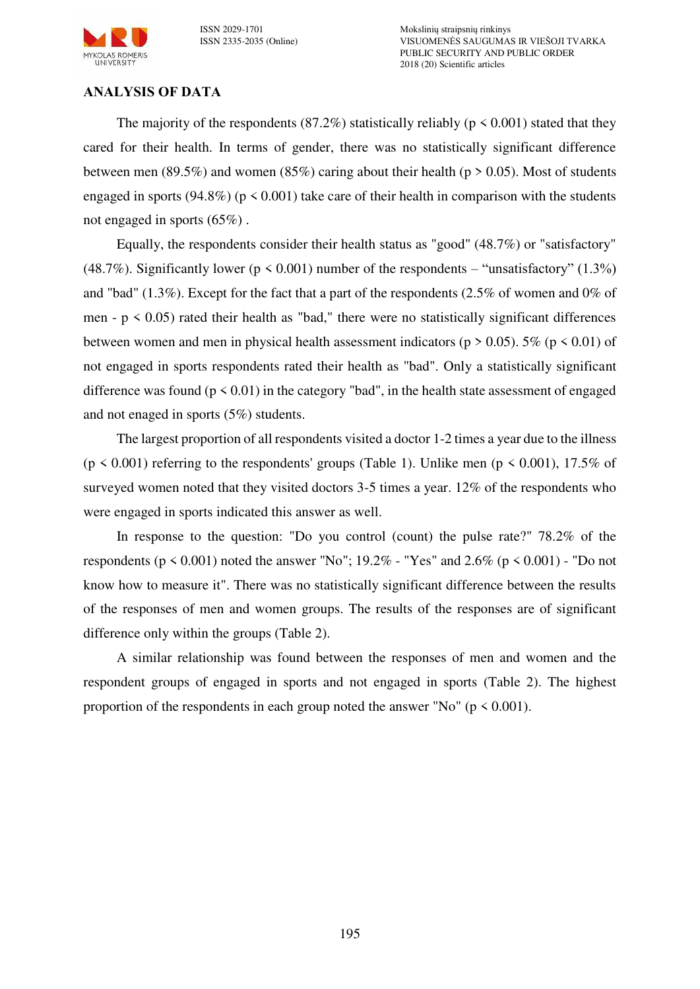

ISSN 2029-1701 Mokslinių straipsnių rinkinys VISUOMENĖS SAUGUMAS IR VIEŠOJI TVARKA PUBLIC SECURITY AND PUBLIC ORDER 2018 (20) Scientific articles

### **ANALYSIS OF DATA**

The majority of the respondents (87.2%) statistically reliably ( $p \le 0.001$ ) stated that they cared for their health. In terms of gender, there was no statistically significant difference between men (89.5%) and women (85%) caring about their health ( $p > 0.05$ ). Most of students engaged in sports (94.8%) ( $p \le 0.001$ ) take care of their health in comparison with the students not engaged in sports (65%) .

Equally, the respondents consider their health status as "good" (48.7%) or "satisfactory" (48.7%). Significantly lower ( $p \le 0.001$ ) number of the respondents – "unsatisfactory" (1.3%) and "bad"  $(1.3\%)$ . Except for the fact that a part of the respondents  $(2.5\%$  of women and 0% of men -  $p \le 0.05$ ) rated their health as "bad," there were no statistically significant differences between women and men in physical health assessment indicators ( $p > 0.05$ ). 5% ( $p < 0.01$ ) of not engaged in sports respondents rated their health as "bad". Only a statistically significant difference was found ( $p \le 0.01$ ) in the category "bad", in the health state assessment of engaged and not enaged in sports (5%) students.

The largest proportion of all respondents visited a doctor 1-2 times a year due to the illness  $(p \le 0.001)$  referring to the respondents' groups (Table 1). Unlike men ( $p \le 0.001$ ), 17.5% of surveyed women noted that they visited doctors 3-5 times a year. 12% of the respondents who were engaged in sports indicated this answer as well.

In response to the question: "Do you control (count) the pulse rate?" 78.2% of the respondents ( $p \le 0.001$ ) noted the answer "No"; 19.2% - "Yes" and 2.6% ( $p \le 0.001$ ) - "Do not know how to measure it". There was no statistically significant difference between the results of the responses of men and women groups. The results of the responses are of significant difference only within the groups (Table 2).

A similar relationship was found between the responses of men and women and the respondent groups of engaged in sports and not engaged in sports (Table 2). The highest proportion of the respondents in each group noted the answer "No" ( $p \le 0.001$ ).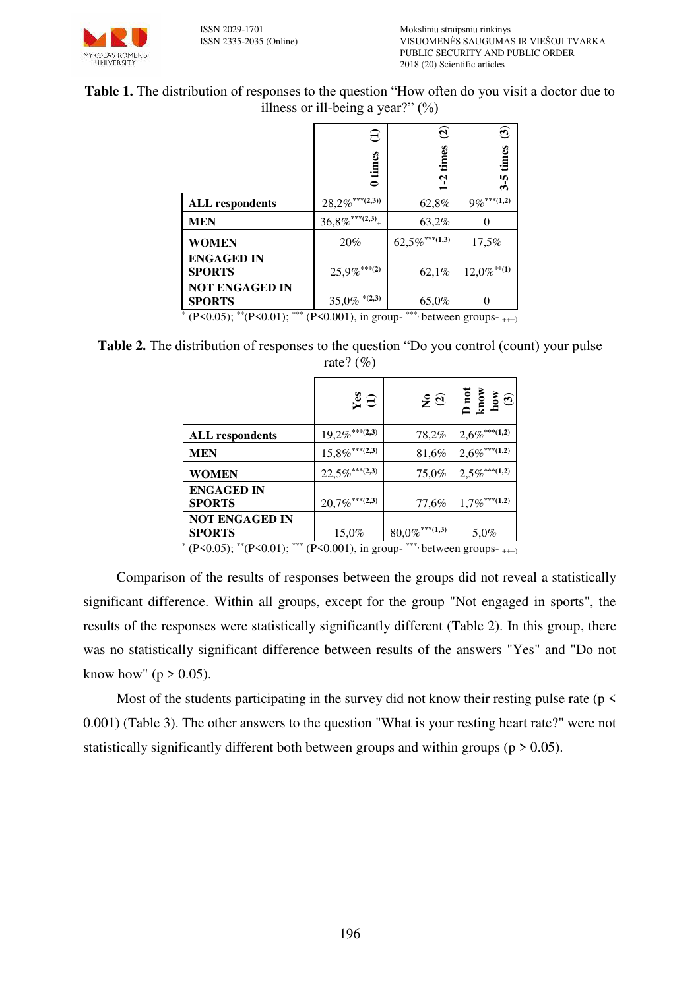

## Table 1. The distribution of responses to the question "How often do you visit a doctor due to illness or ill-being a year?" (%)

|                                        | $\widehat{\Xi}$<br>times          | $\widehat{\mathbf{c}}$<br>times<br>$1-2$ | $\widehat{\mathbf{c}}$<br>3-5 times |
|----------------------------------------|-----------------------------------|------------------------------------------|-------------------------------------|
| <b>ALL</b> respondents                 | $28,2\%$ <sup>***(2,3))</sup>     | 62,8%                                    | $9\%$ ***(1,2)                      |
| <b>MEN</b>                             | $36,8\%$ *** $(2,3)$ <sub>+</sub> | 63,2%                                    | 0                                   |
| <b>WOMEN</b>                           | 20%                               | $62,5\%$ <sup>***(1,3)</sup>             | 17,5%                               |
| <b>ENGAGED IN</b><br><b>SPORTS</b>     | $25,9\%$ ***(2)                   | 62,1%                                    | $12,0\%$ <sup>**(1)</sup>           |
| <b>NOT ENGAGED IN</b><br><b>SPORTS</b> | $35,0\%$ *(2,3)                   | 65,0%                                    | 0                                   |

 $*$  (P<0.05); \*\*(P<0.01); \*\*\* (P<0.001), in group- \*\*\*, between groups-  $_{+++}$ )

**Table 2.** The distribution of responses to the question "Do you control (count) your pulse rate? (%)

|                                        | $\frac{3}{2}$                | $2^{\circ}$                  | $\frac{\text{total}}{\text{bound}}$ |
|----------------------------------------|------------------------------|------------------------------|-------------------------------------|
| <b>ALL</b> respondents                 | $19,2\%$ <sup>***(2,3)</sup> | 78,2%                        | $2,6\%$ <sup>***(1,2)</sup>         |
| <b>MEN</b>                             | $15,8\%$ <sup>***(2,3)</sup> | 81,6%                        | $2,6\%$ <sup>***(1,2)</sup>         |
| <b>WOMEN</b>                           | $22,5\%$ <sup>***(2,3)</sup> | 75,0%                        | $2,5\%$ <sup>***(1,2)</sup>         |
| <b>ENGAGED IN</b><br><b>SPORTS</b>     | $20,7\%$ <sup>***(2,3)</sup> | 77,6%                        | $1,7\%$ ***(1,2)                    |
| <b>NOT ENGAGED IN</b><br><b>SPORTS</b> | 15,0%                        | $80,0\%$ <sup>***(1,3)</sup> | 5,0%                                |

 $*$  (P<0.05); \*\*(P<0.01); \*\*\* (P<0.001), in group- \*\*\*, between groups-  $_{+++}$ )

Comparison of the results of responses between the groups did not reveal a statistically significant difference. Within all groups, except for the group "Not engaged in sports", the results of the responses were statistically significantly different (Table 2). In this group, there was no statistically significant difference between results of the answers "Yes" and "Do not know how" ( $p > 0.05$ ).

Most of the students participating in the survey did not know their resting pulse rate ( $p \le$ 0.001) (Table 3). The other answers to the question "What is your resting heart rate?" were not statistically significantly different both between groups and within groups ( $p > 0.05$ ).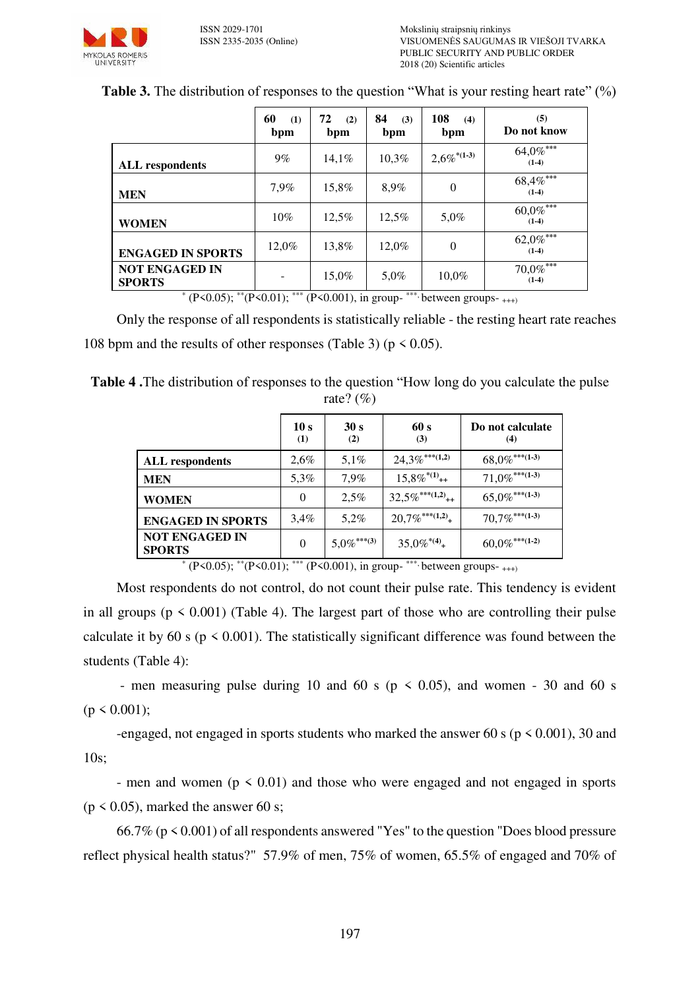

|                                        | 60<br>(1)<br>bpm | 72<br>(2)<br>bpm | 84<br>(3)<br>bpm | 108<br>(4)<br>bpm         | (5)<br>Do not know        |
|----------------------------------------|------------------|------------------|------------------|---------------------------|---------------------------|
| <b>ALL</b> respondents                 | 9%               | 14,1%            | 10,3%            | $2,6\%$ <sup>*(1-3)</sup> | $64,0\%$ ***<br>$(1-4)$   |
| <b>MEN</b>                             | 7,9%             | 15,8%            | 8,9%             | $\theta$                  | $68,4\%$ ***<br>$(1-4)$   |
| <b>WOMEN</b>                           | 10%              | 12,5%            | 12,5%            | 5,0%                      | $60,0\%$ ***<br>$(1-4)$   |
| <b>ENGAGED IN SPORTS</b>               | 12,0%            | 13,8%            | 12,0%            | $\theta$                  | $62,0\%$ ***<br>$(1-4)$   |
| <b>NOT ENGAGED IN</b><br><b>SPORTS</b> |                  | 15,0%            | 5,0%             | $10.0\%$                  | $70,\!0\%$ ***<br>$(1-4)$ |

**Table 3.** The distribution of responses to the question "What is your resting heart rate" (%)

 $*$  (P<0.05); \*\*(P<0.01); \*\*\* (P<0.001), in group- \*\*\*, between groups-  $_{+++}$ )

Only the response of all respondents is statistically reliable - the resting heart rate reaches 108 bpm and the results of other responses (Table 3) ( $p \le 0.05$ ).

**Table 4 .**The distribution of responses to the question "How long do you calculate the pulse rate?  $(\% )$ 

|                                        | 10 <sub>s</sub><br>(1) | 30 s<br>(2)               | 60 s<br>(3)                            | Do not calculate<br>(4)      |
|----------------------------------------|------------------------|---------------------------|----------------------------------------|------------------------------|
| <b>ALL</b> respondents                 | $2,6\%$                | 5,1%                      | $24,3\%$ <sup>***(1,2)</sup>           | $68,0\%$ <sup>***(1.3)</sup> |
| <b>MEN</b>                             | 5,3%                   | 7,9%                      | $15,8\%$ <sup>*(1)</sup> <sub>++</sub> | $71,0\%$ <sup>***(1-3)</sup> |
| <b>WOMEN</b>                           | $\Omega$               | 2.5%                      | $32,5\%$ <sup>***(1,2)</sup> ++        | $65,0\%$ <sup>***(1-3)</sup> |
| <b>ENGAGED IN SPORTS</b>               | 3,4%                   | 5,2%                      | $20.7\%$ <sup>***(1,2)</sup> +         | $70,7\%$ <sup>***(1-3)</sup> |
| <b>NOT ENGAGED IN</b><br><b>SPORTS</b> | $\theta$               | $5,0\%$ <sup>***(3)</sup> | $35,0\%^{*(4)}$ +                      | $60,0\%$ *** $(1-2)$         |

 $*$  (P<0.05); \*\*(P<0.01); \*\*\* (P<0.001), in group- \*\*\*, between groups-  $_{+++}$ )

Most respondents do not control, do not count their pulse rate. This tendency is evident in all groups ( $p \le 0.001$ ) (Table 4). The largest part of those who are controlling their pulse calculate it by 60 s ( $p \le 0.001$ ). The statistically significant difference was found between the students (Table 4):

- men measuring pulse during 10 and 60 s ( $p \le 0.05$ ), and women - 30 and 60 s  $(p < 0.001)$ ;

-engaged, not engaged in sports students who marked the answer 60 s ( $p \le 0.001$ ), 30 and 10s;

- men and women ( $p \le 0.01$ ) and those who were engaged and not engaged in sports  $(p \le 0.05)$ , marked the answer 60 s;

66.7% (p < 0.001) of all respondents answered "Yes" to the question "Does blood pressure reflect physical health status?" 57.9% of men, 75% of women, 65.5% of engaged and 70% of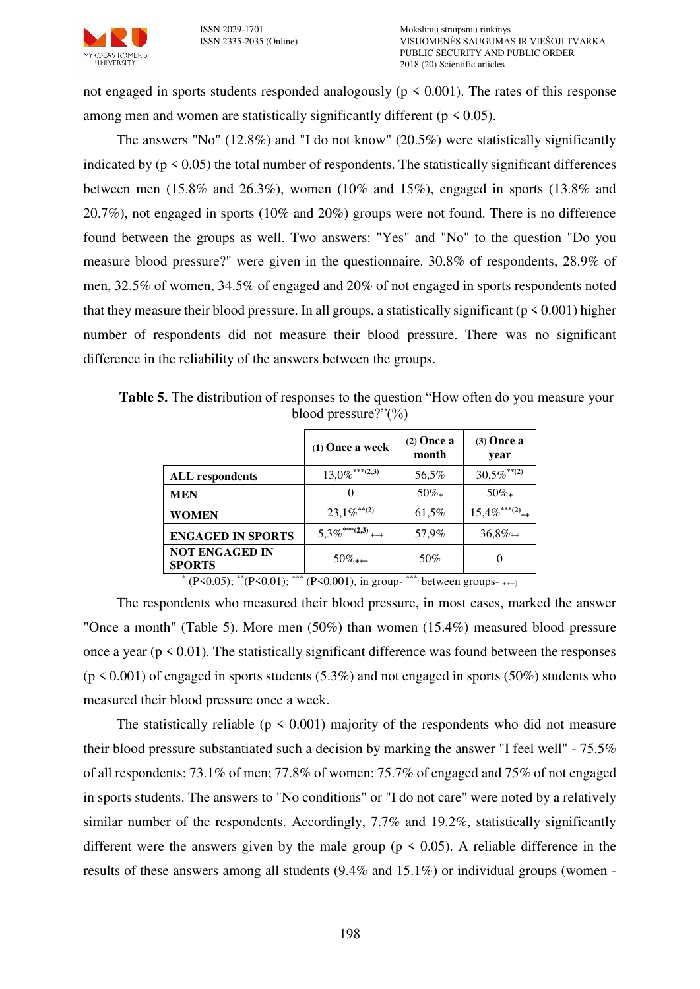

not engaged in sports students responded analogously ( $p \le 0.001$ ). The rates of this response among men and women are statistically significantly different ( $p \le 0.05$ ).

The answers "No" (12.8%) and "I do not know" (20.5%) were statistically significantly indicated by  $(p \le 0.05)$  the total number of respondents. The statistically significant differences between men (15.8% and 26.3%), women (10% and 15%), engaged in sports (13.8% and 20.7%), not engaged in sports (10% and 20%) groups were not found. There is no difference found between the groups as well. Two answers: "Yes" and "No" to the question "Do you measure blood pressure?" were given in the questionnaire. 30.8% of respondents, 28.9% of men, 32.5% of women, 34.5% of engaged and 20% of not engaged in sports respondents noted that they measure their blood pressure. In all groups, a statistically significant ( $p \le 0.001$ ) higher number of respondents did not measure their blood pressure. There was no significant difference in the reliability of the answers between the groups.

**Table 5.** The distribution of responses to the question "How often do you measure your blood pressure?"(%)

|                                                            | $(1)$ Once a week               | $(2)$ Once a<br>month | $(3)$ Once a<br>year          |
|------------------------------------------------------------|---------------------------------|-----------------------|-------------------------------|
| <b>ALL</b> respondents                                     | $13,0\%$ <sup>***(2,3)</sup>    | 56,5%                 | $30,5\%$ <sup>**(2)</sup>     |
| <b>MEN</b>                                                 |                                 | $50\%$ +              | $50\%$ +                      |
| <b>WOMEN</b>                                               | $23,1\%^{**}(2)$                | 61,5%                 | $15,4\%$ ***(2) <sub>++</sub> |
| <b>ENGAGED IN SPORTS</b>                                   | $5.3\%$ <sup>***(2,3)</sup> +++ | 57,9%                 | $36.8\%_{++}$                 |
| <b>NOT ENGAGED IN</b><br><b>SPORTS</b><br>dealership comes | $50\%$ <sub>+++</sub>           | 50%                   | ( )                           |

 $*$  (P<0.05); \*\*(P<0.01); \*\*\* (P<0.001), in group- \*\*\*, between groups-  $_{+++}$ )

The respondents who measured their blood pressure, in most cases, marked the answer "Once a month" (Table 5). More men (50%) than women (15.4%) measured blood pressure once a year ( $p \le 0.01$ ). The statistically significant difference was found between the responses  $(p \le 0.001)$  of engaged in sports students  $(5.3\%)$  and not engaged in sports  $(50\%)$  students who measured their blood pressure once a week.

The statistically reliable ( $p \le 0.001$ ) majority of the respondents who did not measure their blood pressure substantiated such a decision by marking the answer "I feel well" - 75.5% of all respondents; 73.1% of men; 77.8% of women; 75.7% of engaged and 75% of not engaged in sports students. The answers to "No conditions" or "I do not care" were noted by a relatively similar number of the respondents. Accordingly, 7.7% and 19.2%, statistically significantly different were the answers given by the male group ( $p \le 0.05$ ). A reliable difference in the results of these answers among all students (9.4% and 15.1%) or individual groups (women -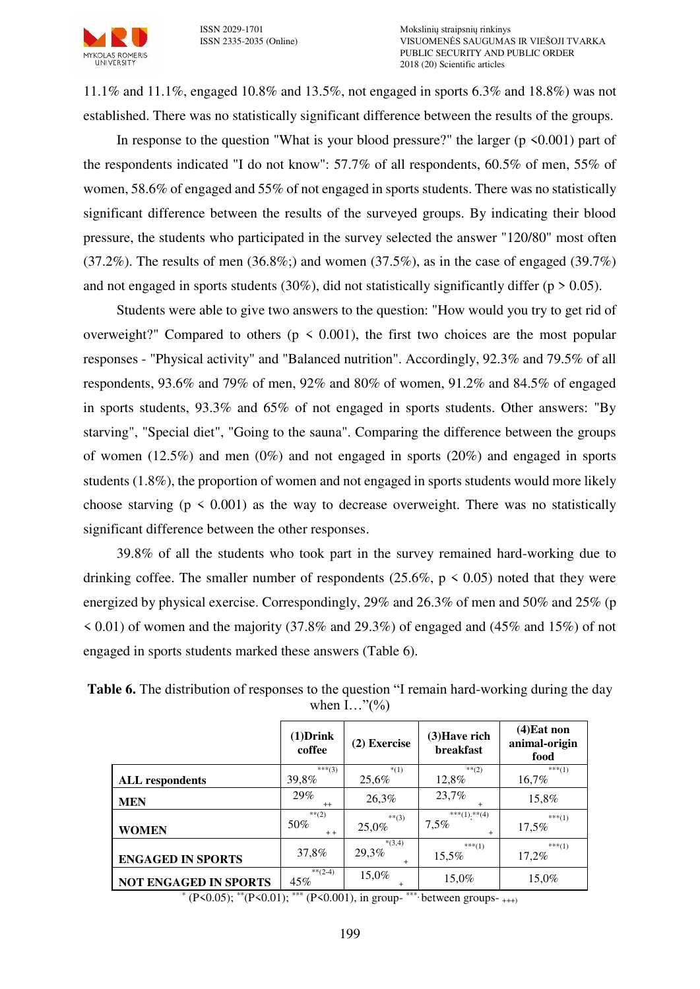

11.1% and 11.1%, engaged 10.8% and 13.5%, not engaged in sports 6.3% and 18.8%) was not established. There was no statistically significant difference between the results of the groups.

In response to the question "What is your blood pressure?" the larger ( $p \le 0.001$ ) part of the respondents indicated "I do not know": 57.7% of all respondents, 60.5% of men, 55% of women, 58.6% of engaged and 55% of not engaged in sports students. There was no statistically significant difference between the results of the surveyed groups. By indicating their blood pressure, the students who participated in the survey selected the answer "120/80" most often  $(37.2\%)$ . The results of men  $(36.8\%)$  and women  $(37.5\%)$ , as in the case of engaged  $(39.7\%)$ and not engaged in sports students (30%), did not statistically significantly differ ( $p > 0.05$ ).

Students were able to give two answers to the question: "How would you try to get rid of overweight?" Compared to others ( $p \le 0.001$ ), the first two choices are the most popular responses - "Physical activity" and "Balanced nutrition". Accordingly, 92.3% and 79.5% of all respondents, 93.6% and 79% of men, 92% and 80% of women, 91.2% and 84.5% of engaged in sports students, 93.3% and 65% of not engaged in sports students. Other answers: "By starving", "Special diet", "Going to the sauna". Comparing the difference between the groups of women  $(12.5\%)$  and men  $(0\%)$  and not engaged in sports  $(20\%)$  and engaged in sports students (1.8%), the proportion of women and not engaged in sports students would more likely choose starving ( $p \le 0.001$ ) as the way to decrease overweight. There was no statistically significant difference between the other responses.

39.8% of all the students who took part in the survey remained hard-working due to drinking coffee. The smaller number of respondents (25.6%,  $p \le 0.05$ ) noted that they were energized by physical exercise. Correspondingly, 29% and 26.3% of men and 50% and 25% (p  $\leq$  0.01) of women and the majority (37.8% and 29.3%) of engaged and (45% and 15%) of not engaged in sports students marked these answers (Table 6).

|                              | $(1)$ Drink<br>coffee    | (2) Exercise              | (3) Have rich<br><b>breakfast</b> | $(4)$ Eat non<br>animal-origin<br>food |
|------------------------------|--------------------------|---------------------------|-----------------------------------|----------------------------------------|
| <b>ALL</b> respondents       | $***(3)$<br>39,8%        | $*(1)$<br>25,6%           | $**(2)$<br>12,8%                  | ***(1)<br>16,7%                        |
| <b>MEN</b>                   | 29%<br>$^{++}$           | 26,3%                     | 23,7%<br>$\ddot{}$                | 15,8%                                  |
| <b>WOMEN</b>                 | $**(2)$<br>50%<br>$+ +$  | $***(3)$<br>25,0%         | $***(1).$ $**(4)$<br>7,5%<br>$+$  | $***(1)$<br>17,5%                      |
| <b>ENGAGED IN SPORTS</b>     | 37,8%                    | $*(3,4)$<br>29,3%<br>$+$  | $***(1)$<br>15,5%                 | $***(1)$<br>17,2%                      |
| <b>NOT ENGAGED IN SPORTS</b> | $***(2-4)$<br>45%<br>--- | 15,0%<br>$\ddot{}$<br>*** | 15,0%                             | 15,0%                                  |

**Table 6.** The distribution of responses to the question "I remain hard-working during the day when  $I...$ "(%)

 $*$  (P<0.05); \*\*(P<0.01); \*\*\* (P<0.001), in group- \*\*\*, between groups-  $_{+++}$ )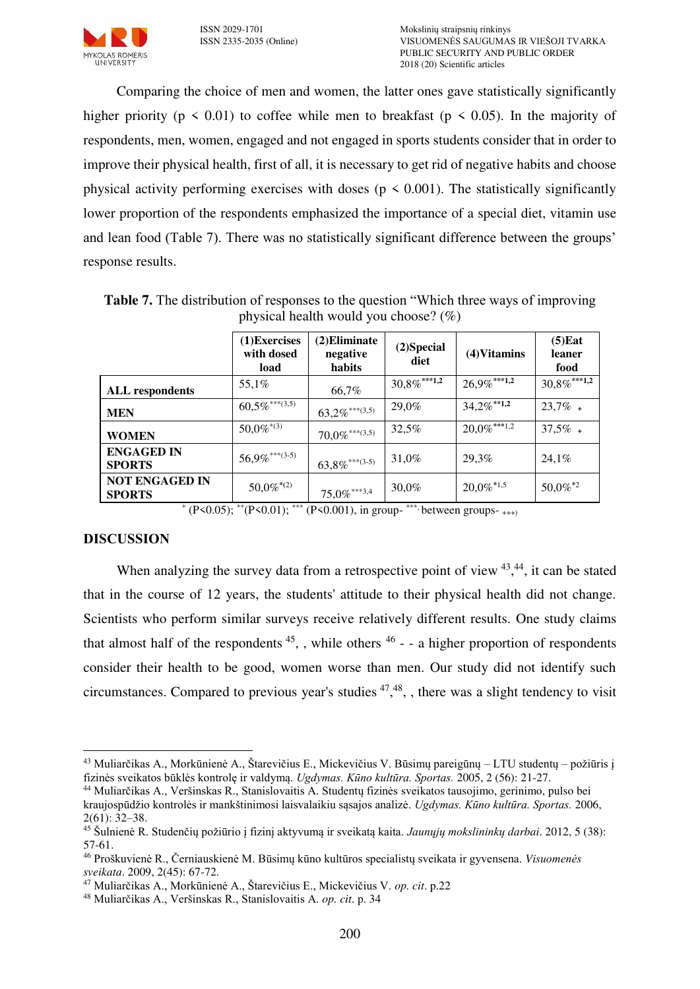

Comparing the choice of men and women, the latter ones gave statistically significantly higher priority ( $p \le 0.01$ ) to coffee while men to breakfast ( $p \le 0.05$ ). In the majority of respondents, men, women, engaged and not engaged in sports students consider that in order to improve their physical health, first of all, it is necessary to get rid of negative habits and choose physical activity performing exercises with doses ( $p \le 0.001$ ). The statistically significantly lower proportion of the respondents emphasized the importance of a special diet, vitamin use and lean food (Table 7). There was no statistically significant difference between the groups' response results.

|                                        | (1) Exercises<br>with dosed<br>load | (2) Eliminate<br>negative<br>habits | (2)Special<br>diet | $(4)$ Vitamins            | $(5)$ Eat<br>leaner<br>food |
|----------------------------------------|-------------------------------------|-------------------------------------|--------------------|---------------------------|-----------------------------|
| <b>ALL</b> respondents                 | 55,1%                               | 66,7%                               | $30,8\%$ ***1,2    | $26,9\%$ ***1,2           | $30,8\%$ ***1,2             |
| <b>MEN</b>                             | $60,5\%$ <sup>***(3,5)</sup>        | $63,2\%$ ***(3,5)                   | 29,0%              | $34,2\%$ <sup>**1,2</sup> | $23,7\%$ +                  |
| <b>WOMEN</b>                           | $50,0\%^{*(3)}$                     | $70,0\%$ <sup>***(3,5)</sup>        | 32,5%              | $20,0\%$ ***1,2           | $37,5\%$ +                  |
| <b>ENGAGED IN</b><br><b>SPORTS</b>     | $56,9\%$ ***(3-5)                   | $63,8\%$ ***(3-5)                   | 31,0%              | 29,3%                     | 24,1%                       |
| <b>NOT ENGAGED IN</b><br><b>SPORTS</b> | $50,0\%$ <sup>*(2)</sup>            | $75,0\%$ ***3,4                     | $30.0\%$           | $20.0\%$ <sup>*1,5</sup>  | 50,0%*2                     |

**Table 7.** The distribution of responses to the question "Which three ways of improving physical health would you choose? (%)

 $*$  (P<0.05); \*\*(P<0.01); \*\*\* (P<0.001), in group- \*\*\*, between groups-  $_{+++}$ )

### **DISCUSSION**

 $\overline{a}$ 

When analyzing the survey data from a retrospective point of view  $43,44$ , it can be stated that in the course of 12 years, the students' attitude to their physical health did not change. Scientists who perform similar surveys receive relatively different results. One study claims that almost half of the respondents  $45$ , while others  $46$  - - a higher proportion of respondents consider their health to be good, women worse than men. Our study did not identify such circumstances. Compared to previous year's studies  $47,48$ , there was a slight tendency to visit

<sup>43</sup> Muliarčikas A., Morkūnienė A., Štarevičius E., Mickevičius V. Būsimų pareigūnų – LTU studentų – požiūris į fizinės sveikatos būklės kontrolę ir valdymą. *Ugdymas. Kūno kultūra. Sportas.* 2005, 2 (56): 21-27.

<sup>44</sup> Muliarčikas A., Veršinskas R., Stanislovaitis A. Studentų fizinės sveikatos tausojimo, gerinimo, pulso bei kraujospūdžio kontrolės ir mankštinimosi laisvalaikiu sąsajos analizė. *Ugdymas. Kūno kultūra. Sportas.* 2006,  $2(61): 32-38.$ 

<sup>45</sup> Šulnienė R. Studenčių požiūrio į fizinį aktyvumą ir sveikatą kaita*. Jaunųjų mokslininkų darbai*. 2012, 5 (38): 57-61.

<sup>46</sup> Proškuvienė R., Černiauskienė M. Būsimų kūno kultūros specialistų sveikata ir gyvensena. *Visuomenės sveikata*. 2009, 2(45): 67-72.

<sup>47</sup> Muliarčikas A., Morkūnienė A., Štarevičius E., Mickevičius V. *op. cit*. p.22

<sup>48</sup> Muliarčikas A., Veršinskas R., Stanislovaitis A. *op. cit*. p. 34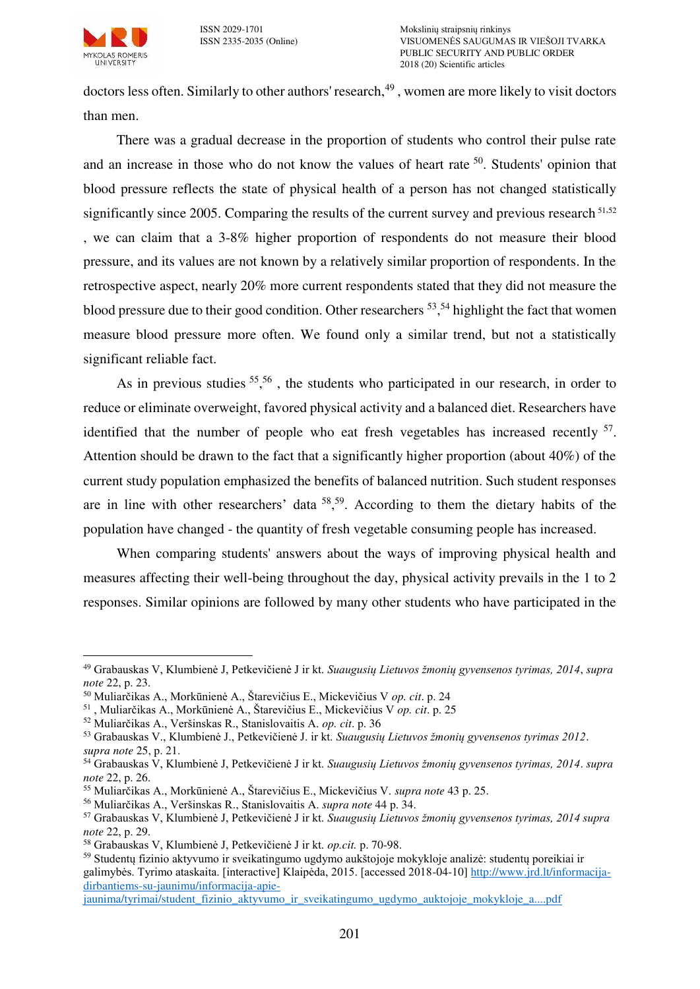

doctors less often. Similarly to other authors' research,<sup>49</sup>, women are more likely to visit doctors than men.

There was a gradual decrease in the proportion of students who control their pulse rate and an increase in those who do not know the values of heart rate <sup>50</sup>. Students' opinion that blood pressure reflects the state of physical health of a person has not changed statistically significantly since 2005. Comparing the results of the current survey and previous research  $51,52$ , we can claim that a 3-8% higher proportion of respondents do not measure their blood pressure, and its values are not known by a relatively similar proportion of respondents. In the retrospective aspect, nearly 20% more current respondents stated that they did not measure the blood pressure due to their good condition. Other researchers <sup>53</sup>,<sup>54</sup> highlight the fact that women measure blood pressure more often. We found only a similar trend, but not a statistically significant reliable fact.

As in previous studies  $55,56$ , the students who participated in our research, in order to reduce or eliminate overweight, favored physical activity and a balanced diet. Researchers have identified that the number of people who eat fresh vegetables has increased recently  $57$ . Attention should be drawn to the fact that a significantly higher proportion (about 40%) of the current study population emphasized the benefits of balanced nutrition. Such student responses are in line with other researchers' data  $58,59$ . According to them the dietary habits of the population have changed - the quantity of fresh vegetable consuming people has increased.

When comparing students' answers about the ways of improving physical health and measures affecting their well-being throughout the day, physical activity prevails in the 1 to 2 responses. Similar opinions are followed by many other students who have participated in the

 $\overline{a}$ 

<sup>49</sup> Grabauskas V, Klumbienė J, Petkevičienė J ir kt. *Suaugusių Lietuvos žmonių gyvensenos tyrimas, 2014*, *supra note* 22, p. 23.

<sup>50</sup> Muliarčikas A., Morkūnienė A., Štarevičius E., Mickevičius V *op. cit*. p. 24

<sup>51</sup> , Muliarčikas A., Morkūnienė A., Štarevičius E., Mickevičius V *op. cit*. p. 25

<sup>52</sup> Muliarčikas A., Veršinskas R., Stanislovaitis A. *op. cit*. p. 36

<sup>53</sup> Grabauskas V., Klumbienė J., Petkevičienė J. ir kt. *Suaugusių Lietuvos žmonių gyvensenos tyrimas 2012*.

*supra note* 25, p. 21.

<sup>54</sup> Grabauskas V, Klumbienė J, Petkevičienė J ir kt. *Suaugusių Lietuvos žmonių gyvensenos tyrimas, 2014*. *supra note* 22, p. 26.

<sup>55</sup> Muliarčikas A., Morkūnienė A., Štarevičius E., Mickevičius V. *supra note* 43 p. 25.

<sup>56</sup> Muliarčikas A., Veršinskas R., Stanislovaitis A. *supra note* 44 p. 34.

<sup>57</sup> Grabauskas V, Klumbienė J, Petkevičienė J ir kt. *Suaugusių Lietuvos žmonių gyvensenos tyrimas, 2014 supra note* 22, p. 29.

<sup>58</sup> Grabauskas V, Klumbienė J, Petkevičienė J ir kt. *op.cit.* p. 70-98.

<sup>59</sup> Studentų fizinio aktyvumo ir sveikatingumo ugdymo aukštojoje mokykloje analizė: studentų poreikiai ir galimybės. Tyrimo ataskaita. [interactive] Klaipėda, 2015. [accessed 2018-04-10] [http://www.jrd.lt/informacija](http://www.jrd.lt/informacija-dirbantiems-su-jaunimu/informacija-apie-jaunima/tyrimai/student_fizinio_aktyvumo_ir_sveikatingumo_ugdymo_auktojoje_mokykloje_a....pdf)[dirbantiems-su-jaunimu/informacija-apie-](http://www.jrd.lt/informacija-dirbantiems-su-jaunimu/informacija-apie-jaunima/tyrimai/student_fizinio_aktyvumo_ir_sveikatingumo_ugdymo_auktojoje_mokykloje_a....pdf)

jaunima/tyrimai/student\_fizinio\_aktyvumo\_ir\_sveikatingumo\_ugdymo\_auktojoje\_mokykloje\_a....pdf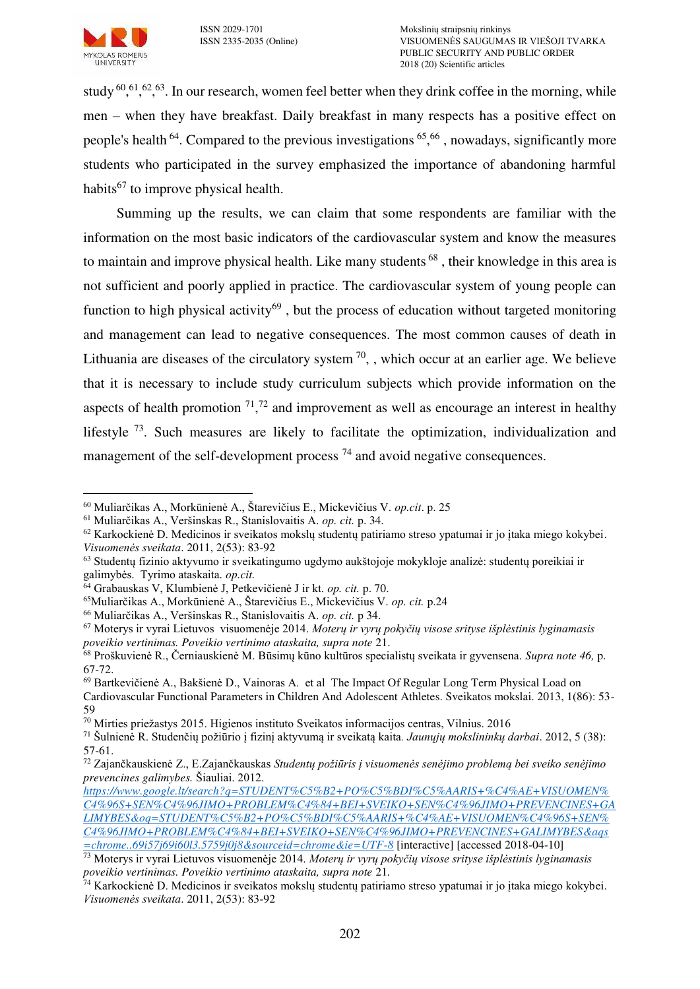study  ${}^{60,61,62,63}$ . In our research, women feel better when they drink coffee in the morning, while men – when they have breakfast. Daily breakfast in many respects has a positive effect on people's health <sup>64</sup>. Compared to the previous investigations <sup>65</sup>, <sup>66</sup>, nowadays, significantly more students who participated in the survey emphasized the importance of abandoning harmful habits $^{67}$  to improve physical health.

Summing up the results, we can claim that some respondents are familiar with the information on the most basic indicators of the cardiovascular system and know the measures to maintain and improve physical health. Like many students <sup>68</sup>, their knowledge in this area is not sufficient and poorly applied in practice. The cardiovascular system of young people can function to high physical activity<sup>69</sup>, but the process of education without targeted monitoring and management can lead to negative consequences. The most common causes of death in Lithuania are diseases of the circulatory system  $^{70}$ , which occur at an earlier age. We believe that it is necessary to include study curriculum subjects which provide information on the aspects of health promotion  $71,72$  and improvement as well as encourage an interest in healthy lifestyle  $^{73}$ . Such measures are likely to facilitate the optimization, individualization and management of the self-development process  $^{74}$  and avoid negative consequences.

<sup>63</sup> Studentų fizinio aktyvumo ir sveikatingumo ugdymo aukštojoje mokykloje analizė: studentų poreikiai ir galimybės. Tyrimo ataskaita. *op.cit.*

 $\overline{a}$ <sup>60</sup> Muliarčikas A., Morkūnienė A., Štarevičius E., Mickevičius V. *op.cit*. p. 25

<sup>61</sup> Muliarčikas A., Veršinskas R., Stanislovaitis A. *op. cit.* p. 34.

<sup>62</sup> Karkockienė D. Medicinos ir sveikatos mokslų studentų patiriamo streso ypatumai ir jo įtaka miego kokybei. *Visuomenės sveikata*. 2011, 2(53): 83-92

<sup>64</sup> Grabauskas V, Klumbienė J, Petkevičienė J ir kt. *op. cit.* p. 70.

<sup>65</sup>Muliarčikas A., Morkūnienė A., Štarevičius E., Mickevičius V. *op. cit.* p.24

<sup>66</sup> Muliarčikas A., Veršinskas R., Stanislovaitis A. *op. cit.* p 34.

<sup>67</sup> Moterys ir vyrai Lietuvos visuomenėje 2014. *Moterų ir vyrų pokyčių visose srityse išplėstinis lyginamasis poveikio vertinimas. Poveikio vertinimo ataskaita, supra note* 21.

<sup>68</sup> Proškuvienė R., Černiauskienė M. Būsimų kūno kultūros specialistų sveikata ir gyvensena. *Supra note 46,* p. 67-72.

<sup>69</sup> Bartkevičienė A., Bakšienė D., Vainoras A. et al The Impact Of Regular Long Term Physical Load on Cardiovascular Functional Parameters in Children And Adolescent Athletes. Sveikatos mokslai. 2013, 1(86): 53- 59

<sup>70</sup> Mirties priežastys 2015. Higienos instituto Sveikatos informacijos centras, Vilnius. 2016

<sup>71</sup> Šulnienė R. Studenčių požiūrio į fizinį aktyvumą ir sveikatą kaita*. Jaunųjų mokslininkų darbai*. 2012, 5 (38): 57-61.

<sup>72</sup> Zajančkauskienė Z., E.Zajančkauskas *Studentų požiūris į visuomenės senėjimo problemą bei sveiko senėjimo prevencines galimybes.* Šiauliai. 2012.

*[https://www.google.lt/search?q=STUDENT%C5%B2+PO%C5%BDI%C5%AARIS+%C4%AE+VISUOMEN%](https://www.google.lt/search?q=STUDENT%C5%B2+PO%C5%BDI%C5%AARIS+%C4%AE+VISUOMEN%C4%96S+SEN%C4%96JIMO+PROBLEM%C4%84+BEI+SVEIKO+SEN%C4%96JIMO+PREVENCINES+GALIMYBES&oq=STUDENT%C5%B2+PO%C5%BDI%C5%AARIS+%C4%AE+VISUOMEN%C4%96S+SEN%C4%96JIMO+PROBLEM%C4%84+BEI+SVEIKO+SEN%C4%96JIMO+PREVENCINES+GALIMYBES&aqs=chrome..69i57j69i60l3.5759j0j8&sourceid=chrome&ie=UTF-8) [C4%96S+SEN%C4%96JIMO+PROBLEM%C4%84+BEI+SVEIKO+SEN%C4%96JIMO+PREVENCINES+GA](https://www.google.lt/search?q=STUDENT%C5%B2+PO%C5%BDI%C5%AARIS+%C4%AE+VISUOMEN%C4%96S+SEN%C4%96JIMO+PROBLEM%C4%84+BEI+SVEIKO+SEN%C4%96JIMO+PREVENCINES+GALIMYBES&oq=STUDENT%C5%B2+PO%C5%BDI%C5%AARIS+%C4%AE+VISUOMEN%C4%96S+SEN%C4%96JIMO+PROBLEM%C4%84+BEI+SVEIKO+SEN%C4%96JIMO+PREVENCINES+GALIMYBES&aqs=chrome..69i57j69i60l3.5759j0j8&sourceid=chrome&ie=UTF-8) [LIMYBES&oq=STUDENT%C5%B2+PO%C5%BDI%C5%AARIS+%C4%AE+VISUOMEN%C4%96S+SEN%](https://www.google.lt/search?q=STUDENT%C5%B2+PO%C5%BDI%C5%AARIS+%C4%AE+VISUOMEN%C4%96S+SEN%C4%96JIMO+PROBLEM%C4%84+BEI+SVEIKO+SEN%C4%96JIMO+PREVENCINES+GALIMYBES&oq=STUDENT%C5%B2+PO%C5%BDI%C5%AARIS+%C4%AE+VISUOMEN%C4%96S+SEN%C4%96JIMO+PROBLEM%C4%84+BEI+SVEIKO+SEN%C4%96JIMO+PREVENCINES+GALIMYBES&aqs=chrome..69i57j69i60l3.5759j0j8&sourceid=chrome&ie=UTF-8) [C4%96JIMO+PROBLEM%C4%84+BEI+SVEIKO+SEN%C4%96JIMO+PREVENCINES+GALIMYBES&aqs](https://www.google.lt/search?q=STUDENT%C5%B2+PO%C5%BDI%C5%AARIS+%C4%AE+VISUOMEN%C4%96S+SEN%C4%96JIMO+PROBLEM%C4%84+BEI+SVEIKO+SEN%C4%96JIMO+PREVENCINES+GALIMYBES&oq=STUDENT%C5%B2+PO%C5%BDI%C5%AARIS+%C4%AE+VISUOMEN%C4%96S+SEN%C4%96JIMO+PROBLEM%C4%84+BEI+SVEIKO+SEN%C4%96JIMO+PREVENCINES+GALIMYBES&aqs=chrome..69i57j69i60l3.5759j0j8&sourceid=chrome&ie=UTF-8) [=chrome..69i57j69i60l3.5759j0j8&sourceid=chrome&ie=UTF-8](https://www.google.lt/search?q=STUDENT%C5%B2+PO%C5%BDI%C5%AARIS+%C4%AE+VISUOMEN%C4%96S+SEN%C4%96JIMO+PROBLEM%C4%84+BEI+SVEIKO+SEN%C4%96JIMO+PREVENCINES+GALIMYBES&oq=STUDENT%C5%B2+PO%C5%BDI%C5%AARIS+%C4%AE+VISUOMEN%C4%96S+SEN%C4%96JIMO+PROBLEM%C4%84+BEI+SVEIKO+SEN%C4%96JIMO+PREVENCINES+GALIMYBES&aqs=chrome..69i57j69i60l3.5759j0j8&sourceid=chrome&ie=UTF-8)* [interactive] [accessed 2018-04-10]

<sup>73</sup> Moterys ir vyrai Lietuvos visuomenėje 2014. *Moterų ir vyrų pokyčių visose srityse išplėstinis lyginamasis poveikio vertinimas. Poveikio vertinimo ataskaita, supra note* 21*.*

<sup>74</sup> Karkockienė D. Medicinos ir sveikatos mokslų studentų patiriamo streso ypatumai ir jo įtaka miego kokybei. *Visuomenės sveikata*. 2011, 2(53): 83-92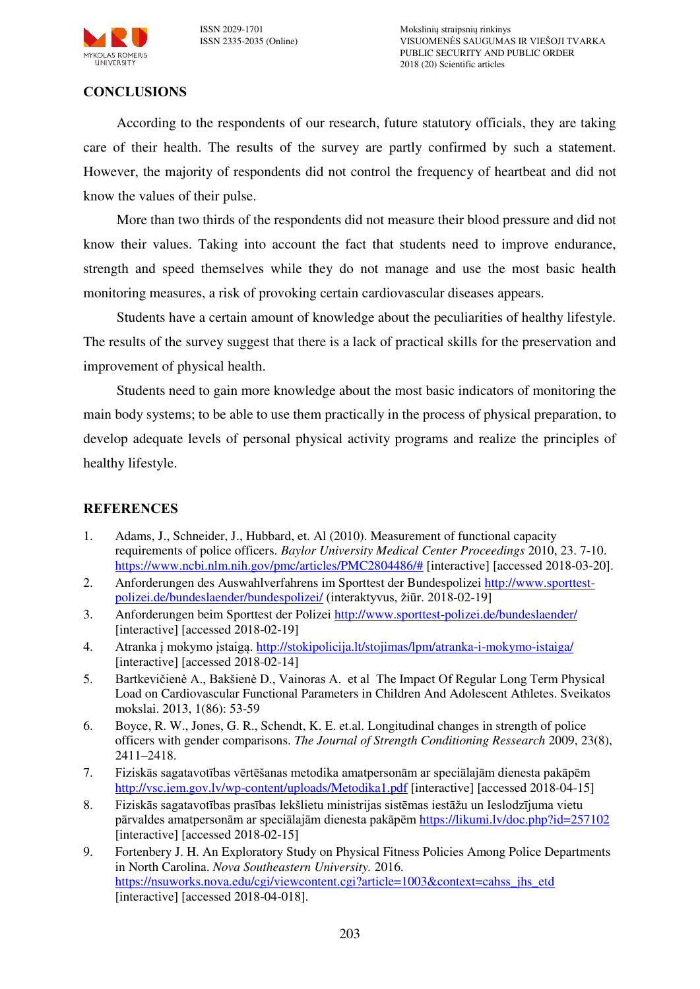

ISSN 2029-1701 Mokslinių straipsnių rinkinys VISUOMENĖS SAUGUMAS IR VIEŠOJI TVARKA PUBLIC SECURITY AND PUBLIC ORDER 2018 (20) Scientific articles

## **CONCLUSIONS**

According to the respondents of our research, future statutory officials, they are taking care of their health. The results of the survey are partly confirmed by such a statement. However, the majority of respondents did not control the frequency of heartbeat and did not know the values of their pulse.

More than two thirds of the respondents did not measure their blood pressure and did not know their values. Taking into account the fact that students need to improve endurance, strength and speed themselves while they do not manage and use the most basic health monitoring measures, a risk of provoking certain cardiovascular diseases appears.

Students have a certain amount of knowledge about the peculiarities of healthy lifestyle. The results of the survey suggest that there is a lack of practical skills for the preservation and improvement of physical health.

Students need to gain more knowledge about the most basic indicators of monitoring the main body systems; to be able to use them practically in the process of physical preparation, to develop adequate levels of personal physical activity programs and realize the principles of healthy lifestyle.

## **REFERENCES**

- 1. Adams, J., Schneider, J., Hubbard, et. Al (2010). Measurement of functional capacity requirements of police officers. *Baylor University Medical Center Proceedings* 2010, 23. 7-10. [https://www.ncbi.nlm.nih.gov/pmc/articles/PMC2804486/#](https://www.ncbi.nlm.nih.gov/pmc/articles/PMC2804486/) [interactive] [accessed 2018-03-20].
- 2. Anforderungen des Auswahlverfahrens im Sporttest der Bundespolizei [http://www.sporttest](http://www.sporttest-polizei.de/bundeslaender/bundespolizei/)[polizei.de/bundeslaender/bundespolizei/](http://www.sporttest-polizei.de/bundeslaender/bundespolizei/) (interaktyvus, žiūr. 2018-02-19]
- 3. Anforderungen beim Sporttest der Polizei<http://www.sporttest-polizei.de/bundeslaender/> [interactive] [accessed 2018-02-19]
- 4. Atranka į mokymo įstaigą. <http://stokipolicija.lt/stojimas/lpm/atranka-i-mokymo-istaiga/> [interactive] [accessed 2018-02-14]
- 5. Bartkevičienė A., Bakšienė D., Vainoras A. et al The Impact Of Regular Long Term Physical Load on Cardiovascular Functional Parameters in Children And Adolescent Athletes. Sveikatos mokslai. 2013, 1(86): 53-59
- 6. Boyce, R. W., Jones, G. R., Schendt, K. E. et.al. Longitudinal changes in strength of police officers with gender comparisons. *The Journal of Strength Conditioning Ressearch* 2009, 23(8), 2411–2418.
- 7. Fiziskās sagatavotības vērtēšanas metodika amatpersonām ar speciālajām dienesta pakāpēm <http://vsc.iem.gov.lv/wp-content/uploads/Metodika1.pdf>[interactive] [accessed 2018-04-15]
- 8. Fiziskās sagatavotības prasības Iekšlietu ministrijas sistēmas iestāžu un Ieslodzījuma vietu pārvaldes amatpersonām ar speciālajām dienesta pakāpēm <https://likumi.lv/doc.php?id=257102> [interactive] [accessed 2018-02-15]
- 9. Fortenbery J. H. An Exploratory Study on Physical Fitness Policies Among Police Departments in North Carolina. *Nova Southeastern University.* 2016. [https://nsuworks.nova.edu/cgi/viewcontent.cgi?article=1003&context=cahss\\_jhs\\_etd](https://nsuworks.nova.edu/cgi/viewcontent.cgi?article=1003&context=cahss_jhs_etd) [interactive] [accessed 2018-04-018].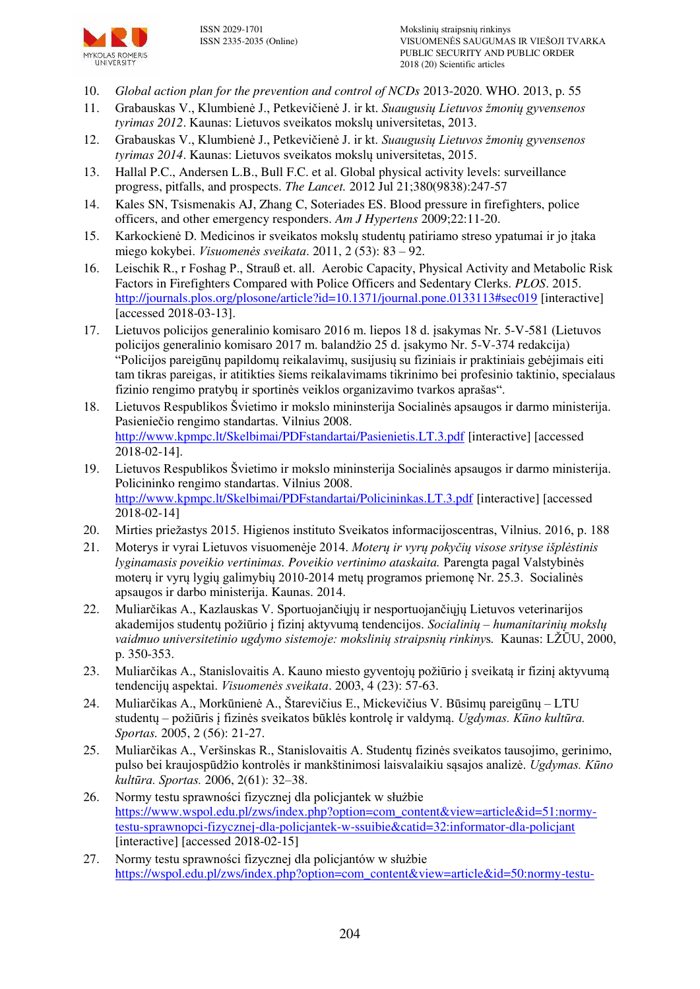

- 10. *Global action plan for the prevention and control of NCDs* 2013-2020. WHO. 2013, p. 55
- 11. Grabauskas V., Klumbienė J., Petkevičienė J. ir kt. *Suaugusių Lietuvos žmonių gyvensenos tyrimas 2012*. Kaunas: Lietuvos sveikatos mokslų universitetas, 2013.
- 12. Grabauskas V., Klumbienė J., Petkevičienė J. ir kt. *Suaugusių Lietuvos žmonių gyvensenos tyrimas 2014*. Kaunas: Lietuvos sveikatos mokslų universitetas, 2015.
- 13. Hallal P.C., Andersen L.B., Bull F.C. et al. Global physical activity levels: surveillance progress, pitfalls, and prospects. *The Lancet.* 2012 Jul 21;380(9838):247-57
- 14. Kales SN, Tsismenakis AJ, Zhang C, Soteriades ES. Blood pressure in firefighters, police officers, and other emergency responders. *Am J Hypertens* 2009;22:11-20.
- 15. Karkockienė D. Medicinos ir sveikatos mokslų studentų patiriamo streso ypatumai ir jo įtaka miego kokybei. *Visuomenės sveikata*. 2011, 2 (53): 83 – 92.
- 16. Leischik R., r Foshag P., Strauß et. all. Aerobic Capacity, Physical Activity and Metabolic Risk Factors in Firefighters Compared with Police Officers and Sedentary Clerks. *PLOS*. 2015. <http://journals.plos.org/plosone/article?id=10.1371/journal.pone.0133113#sec019>[interactive] [accessed 2018-03-13].
- 17. Lietuvos policijos generalinio komisaro 2016 m. liepos 18 d. įsakymas Nr. 5-V-581 (Lietuvos policijos generalinio komisaro 2017 m. balandžio 25 d. įsakymo Nr. 5-V-374 redakcija) "Policijos pareigūnų papildomų reikalavimų, susijusių su fiziniais ir praktiniais gebėjimais eiti tam tikras pareigas, ir atitikties šiems reikalavimams tikrinimo bei profesinio taktinio, specialaus fizinio rengimo pratybų ir sportinės veiklos organizavimo tvarkos aprašas".
- 18. Lietuvos Respublikos Švietimo ir mokslo mininsterija Socialinės apsaugos ir darmo ministerija. Pasieniečio rengimo standartas. Vilnius 2008. <http://www.kpmpc.lt/Skelbimai/PDFstandartai/Pasienietis.LT.3.pdf>[interactive] [accessed 2018-02-14].
- 19. Lietuvos Respublikos Švietimo ir mokslo mininsterija Socialinės apsaugos ir darmo ministerija. Policininko rengimo standartas. Vilnius 2008. <http://www.kpmpc.lt/Skelbimai/PDFstandartai/Policininkas.LT.3.pdf>[interactive] [accessed 2018-02-14]
- 20. Mirties priežastys 2015. Higienos instituto Sveikatos informacijoscentras, Vilnius. 2016, p. 188
- 21. Moterys ir vyrai Lietuvos visuomenėje 2014. *Moterų ir vyrų pokyčių visose srityse išplėstinis lyginamasis poveikio vertinimas. Poveikio vertinimo ataskaita.* Parengta pagal Valstybinės moterų ir vyrų lygių galimybių 2010-2014 metų programos priemonę Nr. 25.3. Socialinės apsaugos ir darbo ministerija. Kaunas. 2014.
- 22. Muliarčikas A., Kazlauskas V. Sportuojančiųjų ir nesportuojančiųjų Lietuvos veterinarijos akademijos studentų požiūrio į fizinį aktyvumą tendencijos. *Socialinių – humanitarinių mokslų vaidmuo universitetinio ugdymo sistemoje: mokslinių straipsnių rinkiny*s*.* Kaunas: LŽŪU, 2000, p. 350-353.
- 23. Muliarčikas A., Stanislovaitis A. Kauno miesto gyventojų požiūrio į sveikatą ir fizinį aktyvumą tendencijų aspektai. *Visuomenės sveikata*. 2003, 4 (23): 57-63.
- 24. Muliarčikas A., Morkūnienė A., Štarevičius E., Mickevičius V. Būsimų pareigūnų LTU studentų – požiūris į fizinės sveikatos būklės kontrolę ir valdymą. *Ugdymas. Kūno kultūra. Sportas.* 2005, 2 (56): 21-27.
- 25. Muliarčikas A., Veršinskas R., Stanislovaitis A. Studentų fizinės sveikatos tausojimo, gerinimo, pulso bei kraujospūdžio kontrolės ir mankštinimosi laisvalaikiu sąsajos analizė. *Ugdymas. Kūno kultūra. Sportas.* 2006, 2(61): 32–38.
- 26. [Normy testu sprawności fizycznej dla policjantek w służbie](https://www.wspol.edu.pl/zws/index.php?option=com_content&view=article&id=51:normy-testu-sprawnopci-fizycznej-dla-policjantek-w-ssuibie&catid=32:informator-dla-policjant) [https://www.wspol.edu.pl/zws/index.php?option=com\\_content&view=article&id=51:normy](https://www.wspol.edu.pl/zws/index.php?option=com_content&view=article&id=51:normy-testu-sprawnopci-fizycznej-dla-policjantek-w-ssuibie&catid=32:informator-dla-policjant)[testu-sprawnopci-fizycznej-dla-policjantek-w-ssuibie&catid=32:informator-dla-policjant](https://www.wspol.edu.pl/zws/index.php?option=com_content&view=article&id=51:normy-testu-sprawnopci-fizycznej-dla-policjantek-w-ssuibie&catid=32:informator-dla-policjant) [interactive] [accessed 2018-02-15]
- 27. [Normy testu sprawności fizycznej dla policjantów w służbie](https://wspol.edu.pl/zws/index.php?option=com_content&view=article&id=50:normy-testu-sprawnopci-fizycznej-dla-policjant-w-ssuibie&catid=32:informator-dla-policjant) [https://wspol.edu.pl/zws/index.php?option=com\\_content&view=article&id=50:normy-testu-](https://wspol.edu.pl/zws/index.php?option=com_content&view=article&id=50:normy-testu-sprawnopci-fizycznej-dla-policjant-w-ssuibie&catid=32:informator-dla-policjant)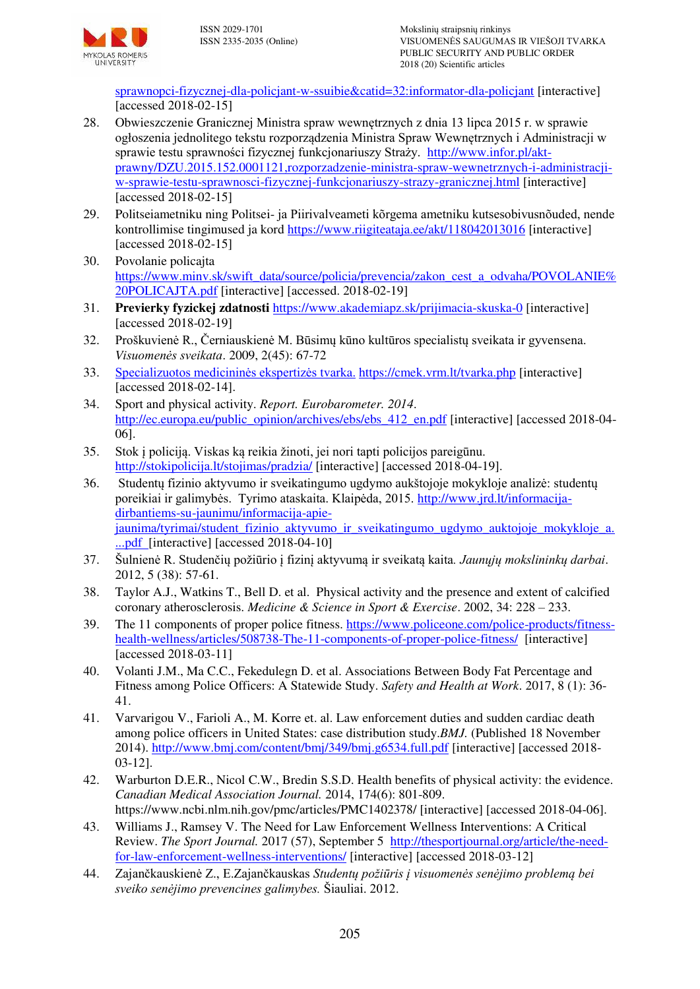

[sprawnopci-fizycznej-dla-policjant-w-ssuibie&catid=32:informator-dla-policjant](https://wspol.edu.pl/zws/index.php?option=com_content&view=article&id=50:normy-testu-sprawnopci-fizycznej-dla-policjant-w-ssuibie&catid=32:informator-dla-policjant) [interactive] [accessed 2018-02-15]

- 28. Obwieszczenie Granicznej Ministra spraw wewnętrznych z dnia 13 lipca 2015 r. w sprawie ogłoszenia jednolitego tekstu rozporządzenia Ministra Spraw Wewnętrznych i Administracji w sprawie testu sprawności fizycznej funkcjonariuszy Straży. [http://www.infor.pl/akt](http://www.infor.pl/akt-prawny/DZU.2015.152.0001121,rozporzadzenie-ministra-spraw-wewnetrznych-i-administracji-w-sprawie-testu-sprawnosci-fizycznej-funkcjonariuszy-strazy-granicznej.html)[prawny/DZU.2015.152.0001121,rozporzadzenie-ministra-spraw-wewnetrznych-i-administracji](http://www.infor.pl/akt-prawny/DZU.2015.152.0001121,rozporzadzenie-ministra-spraw-wewnetrznych-i-administracji-w-sprawie-testu-sprawnosci-fizycznej-funkcjonariuszy-strazy-granicznej.html)[w-sprawie-testu-sprawnosci-fizycznej-funkcjonariuszy-strazy-granicznej.html](http://www.infor.pl/akt-prawny/DZU.2015.152.0001121,rozporzadzenie-ministra-spraw-wewnetrznych-i-administracji-w-sprawie-testu-sprawnosci-fizycznej-funkcjonariuszy-strazy-granicznej.html) [interactive] [accessed 2018-02-15]
- 29. Politseiametniku ning Politsei- ja Piirivalveameti kõrgema ametniku kutsesobivusnõuded, nende kontrollimise tingimused ja kord<https://www.riigiteataja.ee/akt/118042013016>[interactive] [accessed 2018-02-15]
- 30. Povolanie policajta [https://www.minv.sk/swift\\_data/source/policia/prevencia/zakon\\_cest\\_a\\_odvaha/POVOLANIE%](https://www.minv.sk/swift_data/source/policia/prevencia/zakon_cest_a_odvaha/POVOLANIE%20POLICAJTA.pdf) [20POLICAJTA.pdf](https://www.minv.sk/swift_data/source/policia/prevencia/zakon_cest_a_odvaha/POVOLANIE%20POLICAJTA.pdf) [interactive] [accessed. 2018-02-19]
- 31. **Previerky fyzickej zdatnosti** <https://www.akademiapz.sk/prijimacia-skuska-0>[interactive] [accessed 2018-02-19]
- 32. Proškuvienė R., Černiauskienė M. Būsimų kūno kultūros specialistų sveikata ir gyvensena. *Visuomenės sveikata*. 2009, 2(45): 67-72
- 33. [Specializuotos medicininės ekspertizės](file:///H:/MOKSLO%20bendr/1-ALGIO_Mokslas/A-2018%20pavas/straipsnis%20i%20%20Nr%2020%20VSVT/Specializuotos%20medicininės%20ekspertizės%20tvarka.%20%20https:/cmek.vrm.lt/tvarka.php) tvarka. <https://cmek.vrm.lt/tvarka.php>[interactive] [accessed 2018-02-14].
- 34. Sport and physical activity. *Report. Eurobarometer. 2014*. [http://ec.europa.eu/public\\_opinion/archives/ebs/ebs\\_412\\_en.pdf](http://ec.europa.eu/public_opinion/archives/ebs/ebs_412_en.pdf) [interactive] [accessed 2018-04-06].
- 35. Stok į policiją. Viskas ką reikia žinoti, jei nori tapti policijos pareigūnu. <http://stokipolicija.lt/stojimas/pradzia/>[interactive] [accessed 2018-04-19].
- 36. Studentų fizinio aktyvumo ir sveikatingumo ugdymo aukštojoje mokykloje analizė: studentų poreikiai ir galimybės. Tyrimo ataskaita. Klaipėda, 2015. [http://www.jrd.lt/informacija](http://www.jrd.lt/informacija-dirbantiems-su-jaunimu/informacija-apie-jaunima/tyrimai/student_fizinio_aktyvumo_ir_sveikatingumo_ugdymo_auktojoje_mokykloje_a....pdf)[dirbantiems-su-jaunimu/informacija-apie](http://www.jrd.lt/informacija-dirbantiems-su-jaunimu/informacija-apie-jaunima/tyrimai/student_fizinio_aktyvumo_ir_sveikatingumo_ugdymo_auktojoje_mokykloje_a....pdf)[jaunima/tyrimai/student\\_fizinio\\_aktyvumo\\_ir\\_sveikatingumo\\_ugdymo\\_auktojoje\\_mokykloje\\_a.](http://www.jrd.lt/informacija-dirbantiems-su-jaunimu/informacija-apie-jaunima/tyrimai/student_fizinio_aktyvumo_ir_sveikatingumo_ugdymo_auktojoje_mokykloje_a....pdf) [...pdf](http://www.jrd.lt/informacija-dirbantiems-su-jaunimu/informacija-apie-jaunima/tyrimai/student_fizinio_aktyvumo_ir_sveikatingumo_ugdymo_auktojoje_mokykloje_a....pdf) [interactive] [accessed 2018-04-10]
- 37. Šulnienė R. Studenčių požiūrio į fizinį aktyvumą ir sveikatą kaita*. Jaunųjų mokslininkų darbai*. 2012, 5 (38): 57-61.
- 38. Taylor A.J., Watkins T., Bell D. et al. Physical activity and the presence and extent of calcified coronary atherosclerosis. *Medicine & Science in Sport & Exercise*. 2002, 34: 228 – 233.
- 39. The 11 components of proper police fitness. [https://www.policeone.com/police-products/fitness](https://www.policeone.com/police-products/fitness-health-wellness/articles/508738-The-11-components-of-proper-police-fitness/)[health-wellness/articles/508738-The-11-components-of-proper-police-fitness/](https://www.policeone.com/police-products/fitness-health-wellness/articles/508738-The-11-components-of-proper-police-fitness/) [interactive] [accessed 2018-03-11]
- 40. Volanti J.M., Ma C.C., Fekedulegn D. et al. Associations Between Body Fat Percentage and Fitness among Police Officers: A Statewide Study. *[Safety and Health at Work](https://www.sciencedirect.com/science/journal/20937911)*. 2017, 8 (1): 36- 41.
- 41. Varvarigou V., Farioli A., M. Korre et. al. Law enforcement duties and sudden cardiac death among police officers in United States: case distribution study.*BMJ.* (Published 18 November 2014).<http://www.bmj.com/content/bmj/349/bmj.g6534.full.pdf>[interactive] [accessed 2018- 03-12].
- 42. Warburton D.E.R., Nicol C.W., Bredin S.S.D. Health benefits of physical activity: the evidence. *Canadian Medical Association Journal.* 2014, 174(6): 801-809. https://www.ncbi.nlm.nih.gov/pmc/articles/PMC1402378/ [interactive] [accessed 2018-04-06].
- 43. Williams J., Ramsey V. The Need for Law Enforcement Wellness Interventions: A Critical Review. *The Sport Journal.* 2017 (57), September 5 [http://thesportjournal.org/article/the-need](http://thesportjournal.org/article/the-need-for-law-enforcement-wellness-interventions/)[for-law-enforcement-wellness-interventions/](http://thesportjournal.org/article/the-need-for-law-enforcement-wellness-interventions/) [interactive] [accessed 2018-03-12]
- 44. Zajančkauskienė Z., E.Zajančkauskas *Studentų požiūris į visuomenės senėjimo problemą bei sveiko senėjimo prevencines galimybes.* Šiauliai. 2012.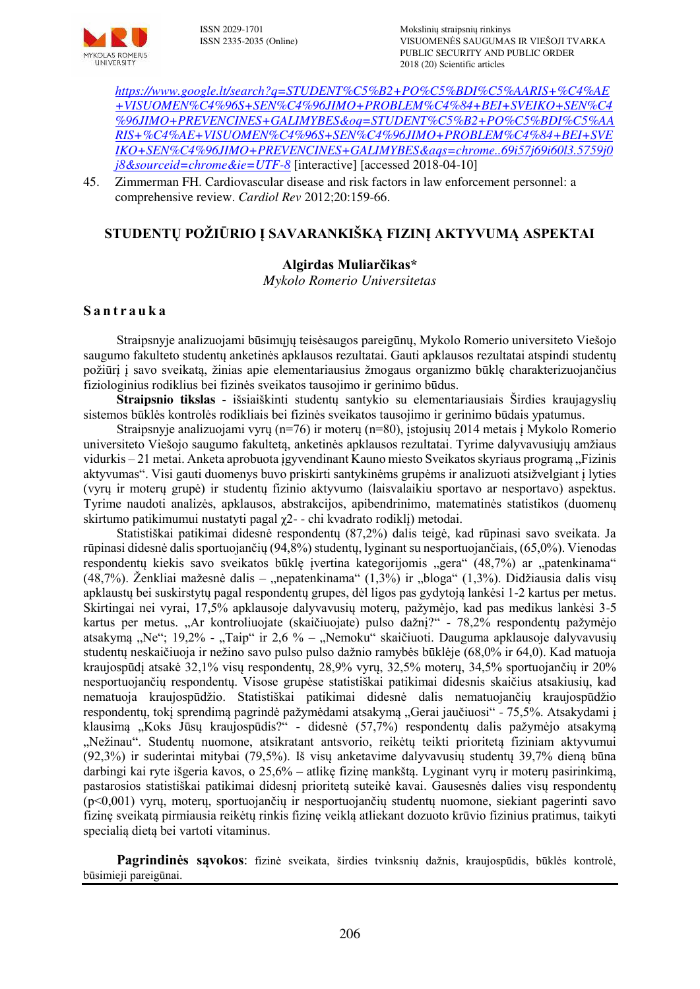

ISSN 2029-1701 Mokslinių straipsnių rinkinys ISSN 2335-2035 (Online) VISUOMENĖS SAUGUMAS IR VIEŠOJI TVARKA PUBLIC SECURITY AND PUBLIC ORDER 2018 (20) Scientific articles

*[https://www.google.lt/search?q=STUDENT%C5%B2+PO%C5%BDI%C5%AARIS+%C4%AE](https://www.google.lt/search?q=STUDENT%C5%B2+PO%C5%BDI%C5%AARIS+%C4%AE+VISUOMEN%C4%96S+SEN%C4%96JIMO+PROBLEM%C4%84+BEI+SVEIKO+SEN%C4%96JIMO+PREVENCINES+GALIMYBES&oq=STUDENT%C5%B2+PO%C5%BDI%C5%AARIS+%C4%AE+VISUOMEN%C4%96S+SEN%C4%96JIMO+PROBLEM%C4%84+BEI+SVEIKO+SEN%C4%96JIMO+PREVENCINES+GALIMYBES&aqs=chrome..69i57j69i60l3.5759j0j8&sourceid=chrome&ie=UTF-8) [+VISUOMEN%C4%96S+SEN%C4%96JIMO+PROBLEM%C4%84+BEI+SVEIKO+SEN%C4](https://www.google.lt/search?q=STUDENT%C5%B2+PO%C5%BDI%C5%AARIS+%C4%AE+VISUOMEN%C4%96S+SEN%C4%96JIMO+PROBLEM%C4%84+BEI+SVEIKO+SEN%C4%96JIMO+PREVENCINES+GALIMYBES&oq=STUDENT%C5%B2+PO%C5%BDI%C5%AARIS+%C4%AE+VISUOMEN%C4%96S+SEN%C4%96JIMO+PROBLEM%C4%84+BEI+SVEIKO+SEN%C4%96JIMO+PREVENCINES+GALIMYBES&aqs=chrome..69i57j69i60l3.5759j0j8&sourceid=chrome&ie=UTF-8) [%96JIMO+PREVENCINES+GALIMYBES&oq=STUDENT%C5%B2+PO%C5%BDI%C5%AA](https://www.google.lt/search?q=STUDENT%C5%B2+PO%C5%BDI%C5%AARIS+%C4%AE+VISUOMEN%C4%96S+SEN%C4%96JIMO+PROBLEM%C4%84+BEI+SVEIKO+SEN%C4%96JIMO+PREVENCINES+GALIMYBES&oq=STUDENT%C5%B2+PO%C5%BDI%C5%AARIS+%C4%AE+VISUOMEN%C4%96S+SEN%C4%96JIMO+PROBLEM%C4%84+BEI+SVEIKO+SEN%C4%96JIMO+PREVENCINES+GALIMYBES&aqs=chrome..69i57j69i60l3.5759j0j8&sourceid=chrome&ie=UTF-8) [RIS+%C4%AE+VISUOMEN%C4%96S+SEN%C4%96JIMO+PROBLEM%C4%84+BEI+SVE](https://www.google.lt/search?q=STUDENT%C5%B2+PO%C5%BDI%C5%AARIS+%C4%AE+VISUOMEN%C4%96S+SEN%C4%96JIMO+PROBLEM%C4%84+BEI+SVEIKO+SEN%C4%96JIMO+PREVENCINES+GALIMYBES&oq=STUDENT%C5%B2+PO%C5%BDI%C5%AARIS+%C4%AE+VISUOMEN%C4%96S+SEN%C4%96JIMO+PROBLEM%C4%84+BEI+SVEIKO+SEN%C4%96JIMO+PREVENCINES+GALIMYBES&aqs=chrome..69i57j69i60l3.5759j0j8&sourceid=chrome&ie=UTF-8) [IKO+SEN%C4%96JIMO+PREVENCINES+GALIMYBES&aqs=chrome..69i57j69i60l3.5759j0](https://www.google.lt/search?q=STUDENT%C5%B2+PO%C5%BDI%C5%AARIS+%C4%AE+VISUOMEN%C4%96S+SEN%C4%96JIMO+PROBLEM%C4%84+BEI+SVEIKO+SEN%C4%96JIMO+PREVENCINES+GALIMYBES&oq=STUDENT%C5%B2+PO%C5%BDI%C5%AARIS+%C4%AE+VISUOMEN%C4%96S+SEN%C4%96JIMO+PROBLEM%C4%84+BEI+SVEIKO+SEN%C4%96JIMO+PREVENCINES+GALIMYBES&aqs=chrome..69i57j69i60l3.5759j0j8&sourceid=chrome&ie=UTF-8) [j8&sourceid=chrome&ie=UTF-8](https://www.google.lt/search?q=STUDENT%C5%B2+PO%C5%BDI%C5%AARIS+%C4%AE+VISUOMEN%C4%96S+SEN%C4%96JIMO+PROBLEM%C4%84+BEI+SVEIKO+SEN%C4%96JIMO+PREVENCINES+GALIMYBES&oq=STUDENT%C5%B2+PO%C5%BDI%C5%AARIS+%C4%AE+VISUOMEN%C4%96S+SEN%C4%96JIMO+PROBLEM%C4%84+BEI+SVEIKO+SEN%C4%96JIMO+PREVENCINES+GALIMYBES&aqs=chrome..69i57j69i60l3.5759j0j8&sourceid=chrome&ie=UTF-8)* [interactive] [accessed 2018-04-10]

45. Zimmerman FH. Cardiovascular disease and risk factors in law enforcement personnel: a comprehensive review. *Cardiol Rev* 2012;20:159-66.

# **STUDENTŲ POŽIŪRIO Į SAVARANKIŠKĄ FIZINĮ AKTYVUMĄ ASPEKTAI**

## **Algirdas Muliarčikas\***

*Mykolo Romerio Universitetas* 

### **S a n t r a u k a**

Straipsnyje analizuojami būsimųjų teisėsaugos pareigūnų, Mykolo Romerio universiteto Viešojo saugumo fakulteto studentų anketinės apklausos rezultatai. Gauti apklausos rezultatai atspindi studentų požiūrį į savo sveikatą, žinias apie elementariausius žmogaus organizmo būklę charakterizuojančius fiziologinius rodiklius bei fizinės sveikatos tausojimo ir gerinimo būdus.

**Straipsnio tikslas** - išsiaiškinti studentų santykio su elementariausiais Širdies kraujagyslių sistemos būklės kontrolės rodikliais bei fizinės sveikatos tausojimo ir gerinimo būdais ypatumus.

Straipsnyje analizuojami vyrų (n=76) ir moterų (n=80), įstojusių 2014 metais į Mykolo Romerio universiteto Viešojo saugumo fakultetą, anketinės apklausos rezultatai. Tyrime dalyvavusiųjų amžiaus vidurkis – 21 metai. Anketa aprobuota įgyvendinant Kauno miesto Sveikatos skyriaus programą "Fizinis aktyvumas". Visi gauti duomenys buvo priskirti santykinėms grupėms ir analizuoti atsižvelgiant į lyties (vyrų ir moterų grupė) ir studentų fizinio aktyvumo (laisvalaikiu sportavo ar nesportavo) aspektus. Tyrime naudoti analizės, apklausos, abstrakcijos, apibendrinimo, matematinės statistikos (duomenų skirtumo patikimumui nustatyti pagal χ2- - chi kvadrato rodiklį) metodai.

Statistiškai patikimai didesnė respondentų (87,2%) dalis teigė, kad rūpinasi savo sveikata. Ja rūpinasi didesnė dalis sportuojančių (94,8%) studentų, lyginant su nesportuojančiais, (65,0%). Vienodas respondentų kiekis savo sveikatos būklę įvertina kategorijomis "gera" (48,7%) ar "patenkinama" (48,7%). Ženkliai mažesnė dalis – "nepatenkinama" (1,3%) ir "bloga" (1,3%). Didžiausia dalis visų apklaustų bei suskirstytų pagal respondentų grupes, dėl ligos pas gydytoją lankėsi 1-2 kartus per metus. Skirtingai nei vyrai, 17,5% apklausoje dalyvavusių moterų, pažymėjo, kad pas medikus lankėsi 3-5 kartus per metus. "Ar kontroliuojate (skaičiuojate) pulso dažnį?" - 78,2% respondentų pažymėjo atsakymą "Ne"; 19,2% - "Taip" ir 2,6 % – "Nemoku" skaičiuoti. Dauguma apklausoje dalyvavusių studentų neskaičiuoja ir nežino savo pulso pulso dažnio ramybės būklėje (68,0% ir 64,0). Kad matuoja kraujospūdį atsakė 32,1% visų respondentų, 28,9% vyrų, 32,5% moterų, 34,5% sportuojančių ir 20% nesportuojančių respondentų. Visose grupėse statistiškai patikimai didesnis skaičius atsakiusių, kad nematuoja kraujospūdžio. Statistiškai patikimai didesnė dalis nematuojančių kraujospūdžio respondentų, tokį sprendimą pagrindė pažymėdami atsakymą "Gerai jaučiuosi" - 75,5%. Atsakydami į klausimą "Koks Jūsų kraujospūdis?" - didesnė (57,7%) respondentų dalis pažymėjo atsakymą "Nežinau". Studentų nuomone, atsikratant antsvorio, reikėtų teikti prioriteta fiziniam aktyvumui (92,3%) ir suderintai mitybai (79,5%). Iš visų anketavime dalyvavusių studentų 39,7% dieną būna darbingi kai ryte išgeria kavos, o 25,6% – atlikę fizinę mankštą. Lyginant vyrų ir moterų pasirinkimą, pastarosios statistiškai patikimai didesnį prioritetą suteikė kavai. Gausesnės dalies visų respondentų (p<0,001) vyrų, moterų, sportuojančių ir nesportuojančių studentų nuomone, siekiant pagerinti savo fizinę sveikatą pirmiausia reikėtų rinkis fizinę veiklą atliekant dozuoto krūvio fizinius pratimus, taikyti specialią dietą bei vartoti vitaminus.

**Pagrindinės sąvokos**: fizinė sveikata, širdies tvinksnių dažnis, kraujospūdis, būklės kontrolė, būsimieji pareigūnai.